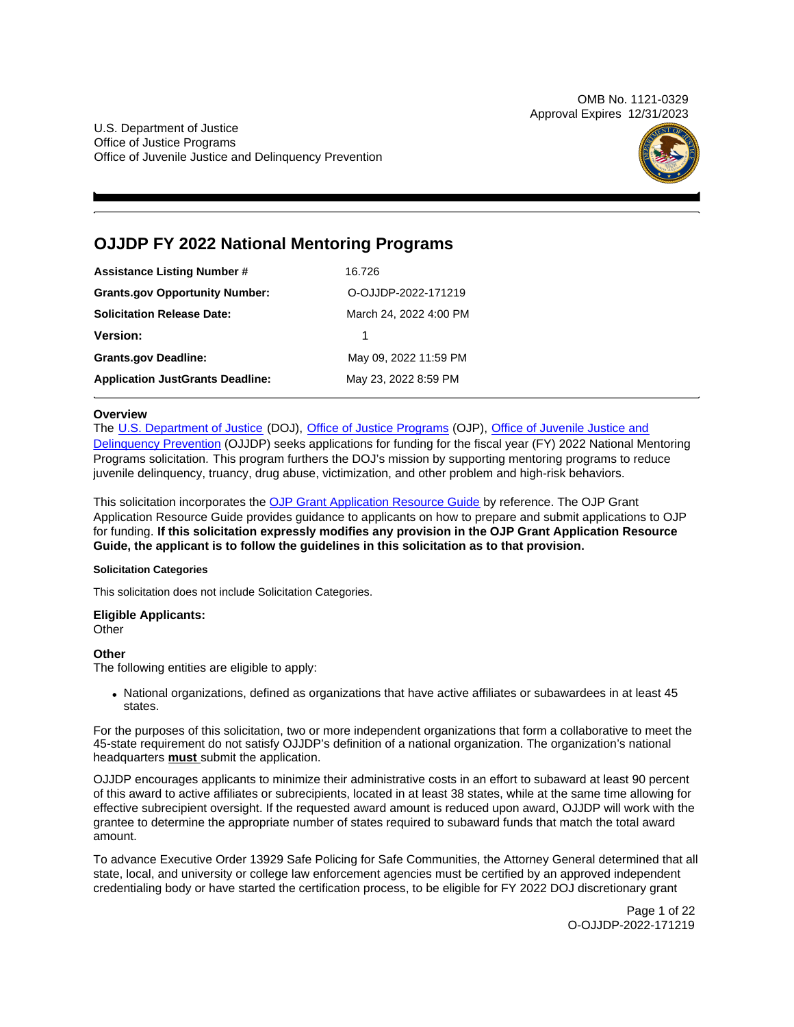OMB No. 1121-0329 Approval Expires 12/31/2023

U.S. Department of Justice Office of Justice Programs Office of Juvenile Justice and Delinquency Prevention



# **OJJDP FY 2022 National Mentoring Programs**

| <b>Assistance Listing Number #</b>      | 16.726                 |
|-----------------------------------------|------------------------|
| <b>Grants.gov Opportunity Number:</b>   | O-OJJDP-2022-171219    |
| <b>Solicitation Release Date:</b>       | March 24, 2022 4:00 PM |
| <b>Version:</b>                         |                        |
| <b>Grants.gov Deadline:</b>             | May 09, 2022 11:59 PM  |
| <b>Application JustGrants Deadline:</b> | May 23, 2022 8:59 PM   |

# **Overview**

The [U.S. Department of Justice](https://www.usdoj.gov/) (DOJ), [Office of Justice Programs](https://www.ojp.gov/) (OJP), Office of Juvenile Justice and [Delinquency Prevention](https://ojjdp.ojp.gov/) (OJJDP) seeks applications for funding for the fiscal year (FY) 2022 National Mentoring Programs solicitation. This program furthers the DOJ's mission by supporting mentoring programs to reduce juvenile delinquency, truancy, drug abuse, victimization, and other problem and high-risk behaviors.

This solicitation incorporates the [OJP Grant Application Resource Guide](https://www.ojp.gov/funding/Apply/Resources/Grant-App-Resource-Guide.htm) by reference. The OJP Grant Application Resource Guide provides guidance to applicants on how to prepare and submit applications to OJP for funding. **If this solicitation expressly modifies any provision in the OJP Grant Application Resource Guide, the applicant is to follow the guidelines in this solicitation as to that provision.** 

# **Solicitation Categories**

This solicitation does not include Solicitation Categories.

# **Eligible Applicants:**

**Other** 

# **Other**

The following entities are eligible to apply:

National organizations, defined as organizations that have active affiliates or subawardees in at least 45 states.

For the purposes of this solicitation, two or more independent organizations that form a collaborative to meet the 45-state requirement do not satisfy OJJDP's definition of a national organization. The organization's national headquarters **must** submit the application.

OJJDP encourages applicants to minimize their administrative costs in an effort to subaward at least 90 percent of this award to active affiliates or subrecipients, located in at least 38 states, while at the same time allowing for effective subrecipient oversight. If the requested award amount is reduced upon award, OJJDP will work with the grantee to determine the appropriate number of states required to subaward funds that match the total award amount.

To advance Executive Order 13929 Safe Policing for Safe Communities, the Attorney General determined that all state, local, and university or college law enforcement agencies must be certified by an approved independent credentialing body or have started the certification process, to be eligible for FY 2022 DOJ discretionary grant

> Page 1 of 22 O-OJJDP-2022-171219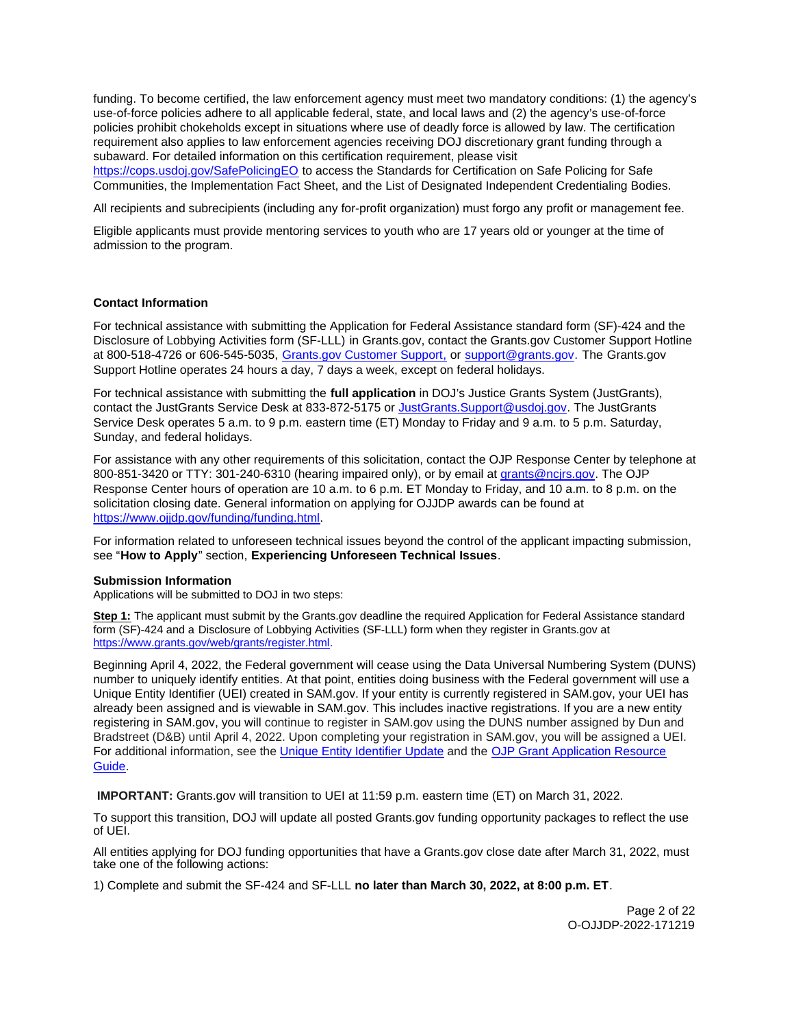<span id="page-1-0"></span>funding. To become certified, the law enforcement agency must meet two mandatory conditions: (1) the agency's use-of-force policies adhere to all applicable federal, state, and local laws and (2) the agency's use-of-force policies prohibit chokeholds except in situations where use of deadly force is allowed by law. The certification requirement also applies to law enforcement agencies receiving DOJ discretionary grant funding through a subaward. For detailed information on this certification requirement, please visit

[https://cops.usdoj.gov/SafePolicingEO](https://cops.usdoj.gov/SafePolicingEO%20) to access the Standards for Certification on Safe Policing for Safe Communities, the Implementation Fact Sheet, and the List of Designated Independent Credentialing Bodies.

All recipients and subrecipients (including any for-profit organization) must forgo any profit or management fee.

Eligible applicants must provide mentoring services to youth who are 17 years old or younger at the time of admission to the program.

# **Contact Information**

For technical assistance with submitting the Application for Federal Assistance standard form (SF)-424 and the Disclosure of Lobbying Activities form (SF-LLL) in [Grants.gov](https://Grants.gov), contact the [Grants.gov](https://Grants.gov) Customer Support Hotline at 800-518-4726 or 606-545-5035, [Grants.gov Customer Support,](https://www.grants.gov/web/grants/support.html) or [support@grants.gov.](mailto:support@grants.gov) The [Grants.gov](https://Grants.gov)  Support Hotline operates 24 hours a day, 7 days a week, except on federal holidays.

For technical assistance with submitting the **full application** in DOJ's Justice Grants System (JustGrants), contact the JustGrants Service Desk at 833-872-5175 or [JustGrants.Support@usdoj.gov.](mailto:JustGrants.Support@usdoj.gov) The JustGrants Service Desk operates 5 a.m. to 9 p.m. eastern time (ET) Monday to Friday and 9 a.m. to 5 p.m. Saturday, Sunday, and federal holidays.

For assistance with any other requirements of this solicitation, contact the OJP Response Center by telephone at 800-851-3420 or TTY: 301-240-6310 (hearing impaired only), or by email at [grants@ncjrs.gov.](mailto:grants@ncjrs.gov) The OJP Response Center hours of operation are 10 a.m. to 6 p.m. ET Monday to Friday, and 10 a.m. to 8 p.m. on the solicitation closing date. General information on applying for OJJDP awards can be found at [https://www.ojjdp.gov/funding/funding.html.](https://www.ojjdp.gov/funding/funding.html)

For information related to unforeseen technical issues beyond the control of the applicant impacting submission, see "**How to Apply**" section, **Experiencing Unforeseen Technical Issues**.

#### **Submission Information**

Applications will be submitted to DOJ in two steps:

**Step 1:** The applicant must submit by the [Grants.gov](https://Grants.gov) deadline the required Application for Federal Assistance standard form (SF)-424 and a Disclosure of Lobbying Activities (SF-LLL) form when they register in [Grants.gov](https://Grants.gov) at [https://www.grants.gov/web/grants/register.html.](https://www.grants.gov/web/grants/register.html)

Beginning April 4, 2022, the Federal government will cease using the Data Universal Numbering System (DUNS) number to uniquely identify entities. At that point, entities doing business with the Federal government will use a Unique Entity Identifier (UEI) created in SAM.gov. If your entity is currently registered in SAM.gov, your UEI has already been assigned and is viewable in SAM.gov. This includes inactive registrations. If you are a new entity registering in SAM.gov, you will continue to register in SAM.gov using the DUNS number assigned by Dun and Bradstreet (D&B) until April 4, 2022. Upon completing your registration in SAM.gov, you will be assigned a UEI. For additional information, see the [Unique Entity Identifier Update](https://www.gsa.gov/about-us/organization/federal-acquisition-service/office-of-systems-management/integrated-award-environment-iae/iae-systems-information-kit/unique-entity-identifier-update) and the [OJP Grant Application Resource](https://www.ojp.gov/funding/apply/ojp-grant-application-resource-guide#unique-entity)  [Guide.](https://www.ojp.gov/funding/apply/ojp-grant-application-resource-guide#unique-entity)

**IMPORTANT:** [Grants.gov](https://Grants.gov) will transition to UEI at 11:59 p.m. eastern time (ET) on March 31, 2022.

To support this transition, DOJ will update all posted [Grants.gov](https://Grants.gov) funding opportunity packages to reflect the use of UEI.

All entities applying for DOJ funding opportunities that have a [Grants.gov](https://Grants.gov) close date after March 31, 2022, must take one of the following actions:

1) Complete and submit the SF-424 and SF-LLL **no later than March 30, 2022, at 8:00 p.m. ET**.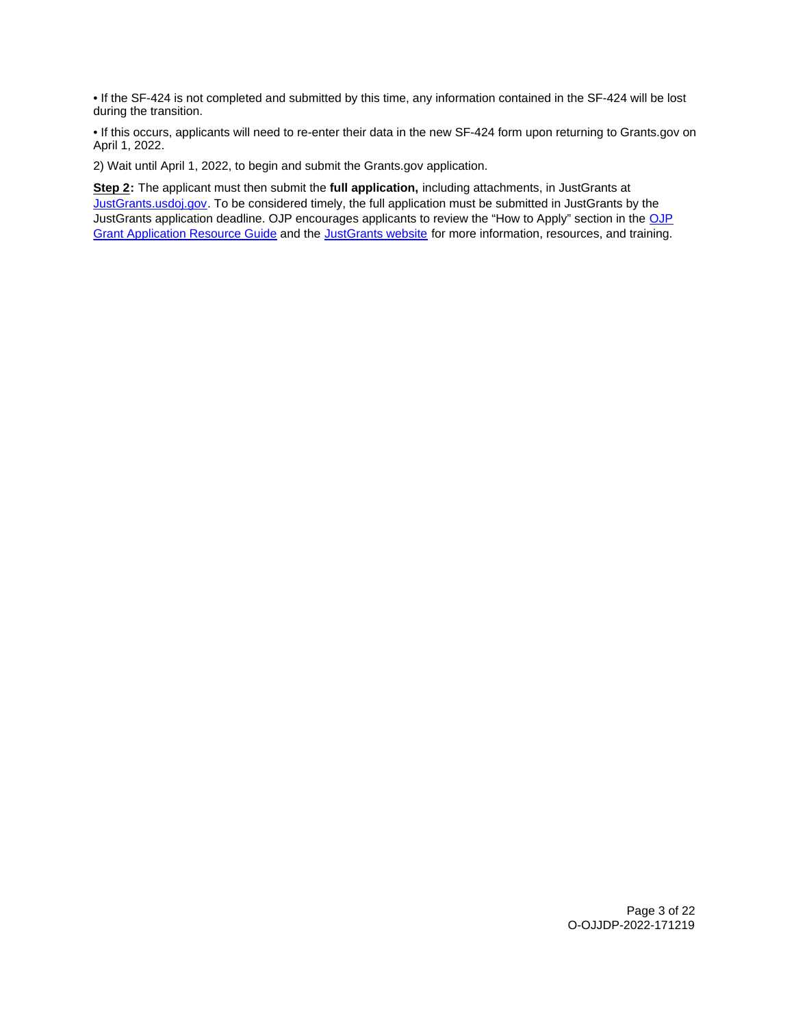• If the SF-424 is not completed and submitted by this time, any information contained in the SF-424 will be lost during the transition.

• If this occurs, applicants will need to re-enter their data in the new SF-424 form upon returning to [Grants.gov](https://Grants.gov) on April 1, 2022.

2) Wait until April 1, 2022, to begin and submit the [Grants.gov](https://Grants.gov) application.

**Step 2:** The applicant must then submit the **full application,** including attachments, in JustGrants at [JustGrants.usdoj.gov.](https://justicegrants.usdoj.gov/) To be considered timely, the full application must be submitted in JustGrants by the JustGrants application deadline. [OJP](https://www.ojp.gov/funding/apply/ojp-grant-application-resource-guide#apply) encourages applicants to review the "How to Apply" section in the OJP [Grant Application Resource Guide](https://www.ojp.gov/funding/apply/ojp-grant-application-resource-guide#apply) and the [JustGrants website](https://justicegrants.usdoj.gov/news) for more information, resources, and training.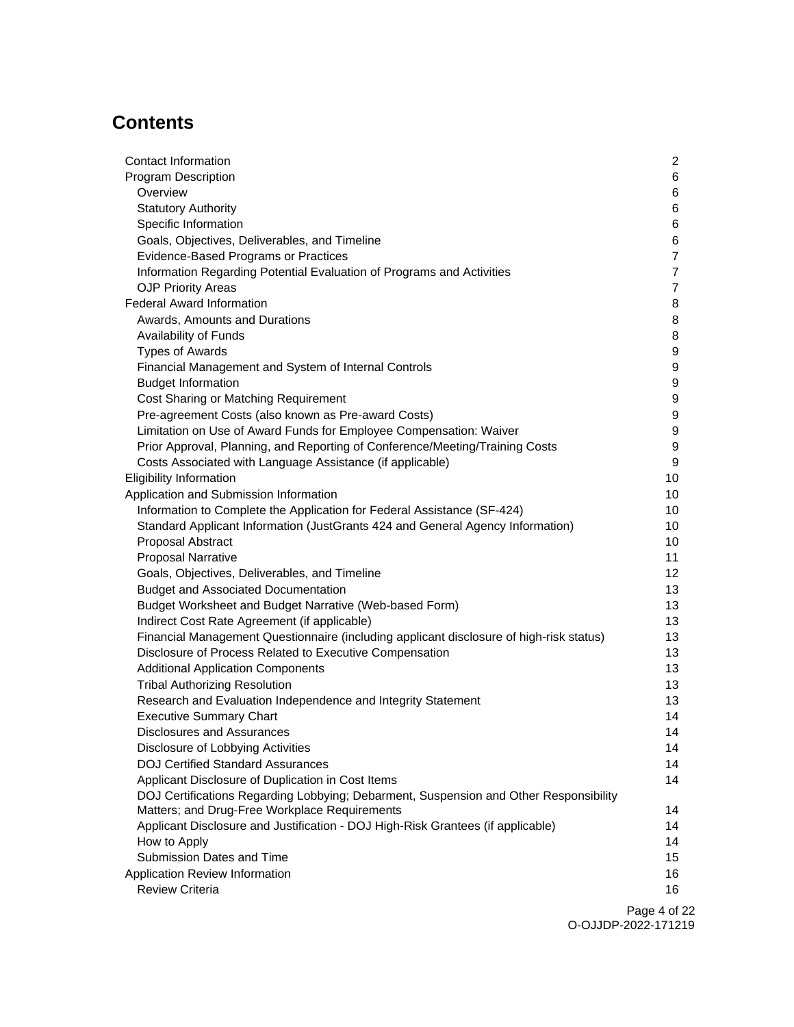# **Contents**

| Contact Information                                                                     | $\mathbf{2}$   |
|-----------------------------------------------------------------------------------------|----------------|
| <b>Program Description</b>                                                              | 6              |
| Overview                                                                                | 6              |
| <b>Statutory Authority</b>                                                              | 6              |
| Specific Information                                                                    | 6              |
| Goals, Objectives, Deliverables, and Timeline                                           | 6              |
| <b>Evidence-Based Programs or Practices</b>                                             | $\overline{7}$ |
| Information Regarding Potential Evaluation of Programs and Activities                   | $\overline{7}$ |
| <b>OJP Priority Areas</b>                                                               | $\overline{7}$ |
| <b>Federal Award Information</b>                                                        | 8              |
| Awards, Amounts and Durations                                                           | 8              |
| Availability of Funds                                                                   | 8              |
| <b>Types of Awards</b>                                                                  | 9              |
| Financial Management and System of Internal Controls                                    | 9              |
| <b>Budget Information</b>                                                               | 9              |
| Cost Sharing or Matching Requirement                                                    | 9              |
| Pre-agreement Costs (also known as Pre-award Costs)                                     | 9              |
| Limitation on Use of Award Funds for Employee Compensation: Waiver                      | 9              |
| Prior Approval, Planning, and Reporting of Conference/Meeting/Training Costs            | 9              |
| Costs Associated with Language Assistance (if applicable)                               | 9              |
| <b>Eligibility Information</b>                                                          | 10             |
| Application and Submission Information                                                  | 10             |
| Information to Complete the Application for Federal Assistance (SF-424)                 | 10             |
| Standard Applicant Information (JustGrants 424 and General Agency Information)          | 10             |
| Proposal Abstract                                                                       | 10             |
| <b>Proposal Narrative</b>                                                               | 11             |
| Goals, Objectives, Deliverables, and Timeline                                           | 12             |
| <b>Budget and Associated Documentation</b>                                              | 13             |
| Budget Worksheet and Budget Narrative (Web-based Form)                                  | 13             |
| Indirect Cost Rate Agreement (if applicable)                                            | 13             |
| Financial Management Questionnaire (including applicant disclosure of high-risk status) | 13             |
| Disclosure of Process Related to Executive Compensation                                 | 13             |
| <b>Additional Application Components</b>                                                | 13             |
| <b>Tribal Authorizing Resolution</b>                                                    | 13             |
| Research and Evaluation Independence and Integrity Statement                            | 13             |
| <b>Executive Summary Chart</b>                                                          | 14             |
| Disclosures and Assurances                                                              | 14             |
| Disclosure of Lobbying Activities                                                       | 14             |
| <b>DOJ Certified Standard Assurances</b>                                                | 14             |
| Applicant Disclosure of Duplication in Cost Items                                       | 14             |
| DOJ Certifications Regarding Lobbying; Debarment, Suspension and Other Responsibility   |                |
| Matters; and Drug-Free Workplace Requirements                                           | 14             |
| Applicant Disclosure and Justification - DOJ High-Risk Grantees (if applicable)         | 14             |
| How to Apply                                                                            | 14             |
| Submission Dates and Time                                                               | 15             |
| Application Review Information                                                          | 16             |
| <b>Review Criteria</b>                                                                  | 16             |
|                                                                                         |                |

Page 4 of 22 O-OJJDP-2022-171219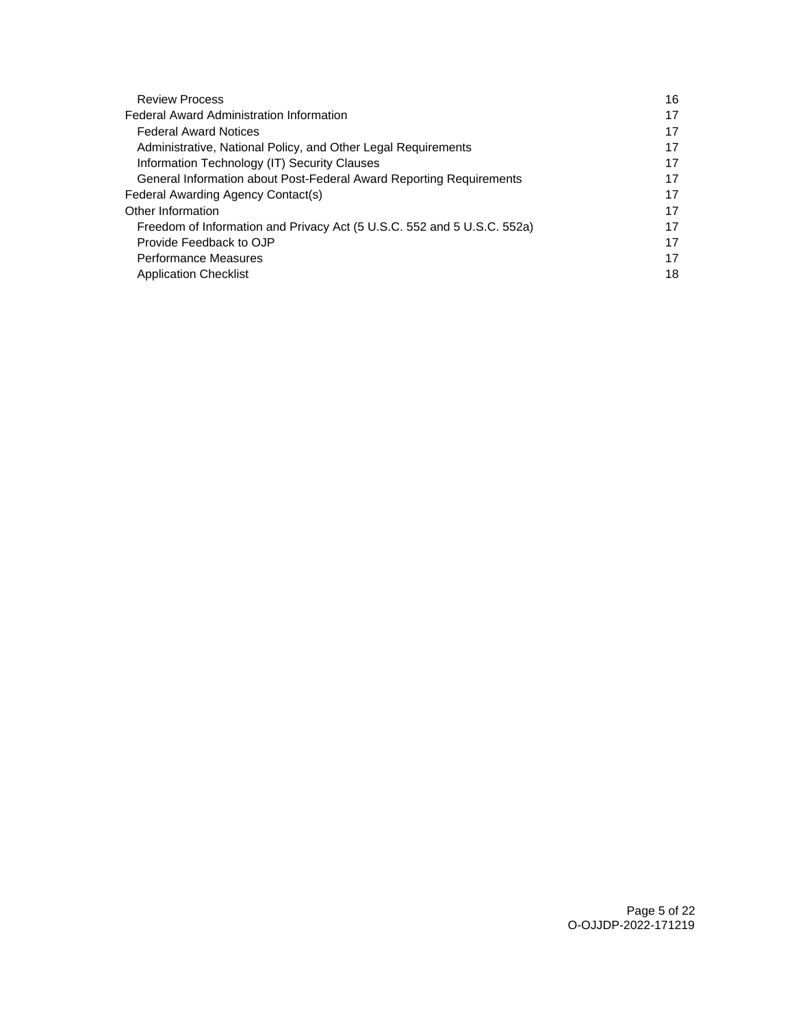| <b>Review Process</b>                                                   | 16 |
|-------------------------------------------------------------------------|----|
| <b>Federal Award Administration Information</b>                         | 17 |
| <b>Federal Award Notices</b>                                            | 17 |
| Administrative, National Policy, and Other Legal Requirements           | 17 |
| Information Technology (IT) Security Clauses                            | 17 |
| General Information about Post-Federal Award Reporting Requirements     | 17 |
| Federal Awarding Agency Contact(s)                                      | 17 |
| Other Information                                                       | 17 |
| Freedom of Information and Privacy Act (5 U.S.C. 552 and 5 U.S.C. 552a) | 17 |
| Provide Feedback to OJP                                                 | 17 |
| <b>Performance Measures</b>                                             | 17 |
| <b>Application Checklist</b>                                            | 18 |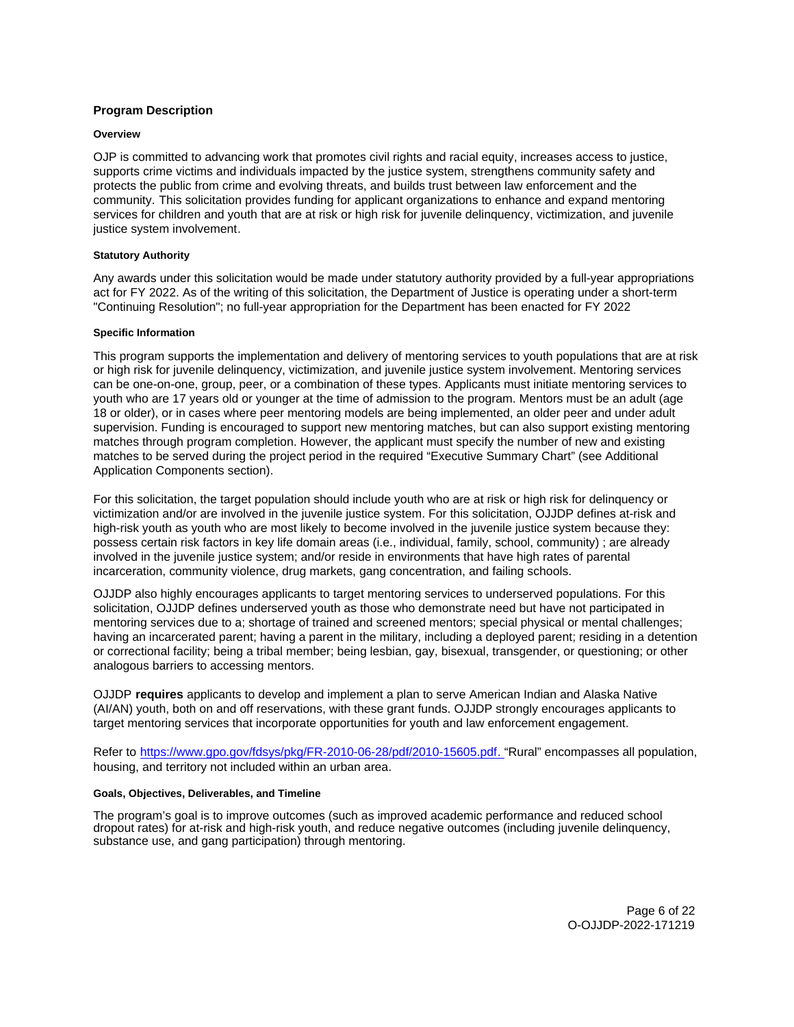# <span id="page-5-0"></span>**Program Description**

### **Overview**

OJP is committed to advancing work that promotes civil rights and racial equity, increases access to justice, supports crime victims and individuals impacted by the justice system, strengthens community safety and protects the public from crime and evolving threats, and builds trust between law enforcement and the community. This solicitation provides funding for applicant organizations to enhance and expand mentoring services for children and youth that are at risk or high risk for juvenile delinguency, victimization, and juvenile justice system involvement.

# **Statutory Authority**

Any awards under this solicitation would be made under statutory authority provided by a full-year appropriations act for FY 2022. As of the writing of this solicitation, the Department of Justice is operating under a short-term "Continuing Resolution"; no full-year appropriation for the Department has been enacted for FY 2022

# **Specific Information**

This program supports the implementation and delivery of mentoring services to youth populations that are at risk or high risk for juvenile delinquency, victimization, and juvenile justice system involvement. Mentoring services can be one-on-one, group, peer, or a combination of these types. Applicants must initiate mentoring services to youth who are 17 years old or younger at the time of admission to the program. Mentors must be an adult (age 18 or older), or in cases where peer mentoring models are being implemented, an older peer and under adult supervision. Funding is encouraged to support new mentoring matches, but can also support existing mentoring matches through program completion. However, the applicant must specify the number of new and existing matches to be served during the project period in the required "Executive Summary Chart" (see Additional Application Components section).

For this solicitation, the target population should include youth who are at risk or high risk for delinquency or victimization and/or are involved in the juvenile justice system. For this solicitation, OJJDP defines at-risk and high-risk youth as youth who are most likely to become involved in the juvenile justice system because they: possess certain risk factors in key life domain areas (i.e., individual, family, school, community) ; are already involved in the juvenile justice system; and/or reside in environments that have high rates of parental incarceration, community violence, drug markets, gang concentration, and failing schools.

OJJDP also highly encourages applicants to target mentoring services to underserved populations. For this solicitation, OJJDP defines underserved youth as those who demonstrate need but have not participated in mentoring services due to a; shortage of trained and screened mentors; special physical or mental challenges; having an incarcerated parent; having a parent in the military, including a deployed parent; residing in a detention or correctional facility; being a tribal member; being lesbian, gay, bisexual, transgender, or questioning; or other analogous barriers to accessing mentors.

OJJDP **requires** applicants to develop and implement a plan to serve American Indian and Alaska Native (AI/AN) youth, both on and off reservations, with these grant funds. OJJDP strongly encourages applicants to target mentoring services that incorporate opportunities for youth and law enforcement engagement.

Refer to [https://www.gpo.gov/fdsys/pkg/FR-2010-06-28/pdf/2010-15605.pdf.](https://www.gpo.gov/fdsys/pkg/FR-2010-06-28/pdf/2010-15605.pdf) "Rural" encompasses all population, housing, and territory not included within an urban area.

## **Goals, Objectives, Deliverables, and Timeline**

The program's goal is to improve outcomes (such as improved academic performance and reduced school dropout rates) for at-risk and high-risk youth, and reduce negative outcomes (including juvenile delinquency, substance use, and gang participation) through mentoring.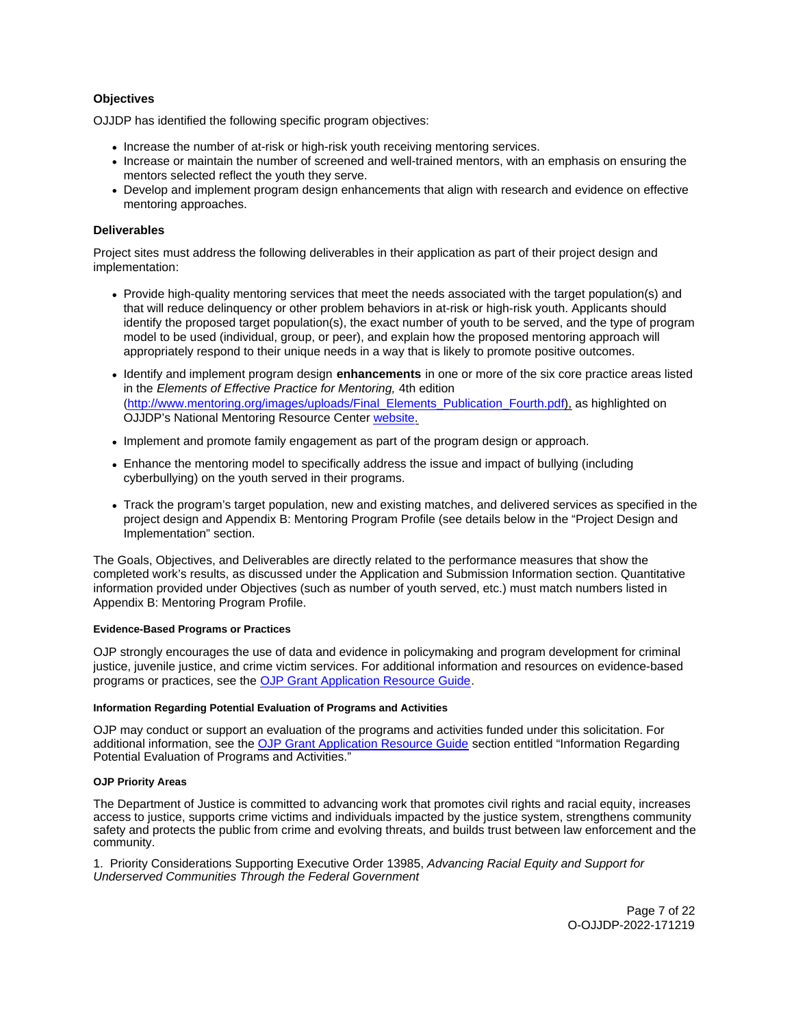# <span id="page-6-0"></span>**Objectives**

OJJDP has identified the following specific program objectives:

- Increase the number of at-risk or high-risk youth receiving mentoring services.
- Increase or maintain the number of screened and well-trained mentors, with an emphasis on ensuring the mentors selected reflect the youth they serve.
- Develop and implement program design enhancements that align with research and evidence on effective mentoring approaches.

# **Deliverables**

Project sites must address the following deliverables in their application as part of their project design and implementation:

- Provide high-quality mentoring services that meet the needs associated with the target population(s) and that will reduce delinquency or other problem behaviors in at-risk or high-risk youth. Applicants should identify the proposed target population(s), the exact number of youth to be served, and the type of program model to be used (individual, group, or peer), and explain how the proposed mentoring approach will appropriately respond to their unique needs in a way that is likely to promote positive outcomes.
- Identify and implement program design **enhancements** in one or more of the six core practice areas listed in the Elements of Effective Practice for Mentoring, 4th edition ([http://www.mentoring.org/images/uploads/Final\\_Elements\\_Publication\\_Fourth.pdf](http://www.mentoring.org/images/uploads/Final_Elements_Publication_Fourth.pdf)), as highlighted on OJJDP's National Mentoring Resource Center [website.](https://nationalmentoringresourcecenter.org/index.php/what-works-in-mentoring/elements-of-effective-practice-for-mentoring.html)
- Implement and promote family engagement as part of the program design or approach.
- Enhance the mentoring model to specifically address the issue and impact of bullying (including cyberbullying) on the youth served in their programs.
- Track the program's target population, new and existing matches, and delivered services as specified in the project design and Appendix B: Mentoring Program Profile (see details below in the "Project Design and Implementation" section.

The Goals, Objectives, and Deliverables are directly related to the performance measures that show the completed work's results, as discussed under the Application and Submission Information section. Quantitative information provided under Objectives (such as number of youth served, etc.) must match numbers listed in Appendix B: Mentoring Program Profile.

#### **Evidence-Based Programs or Practices**

OJP strongly encourages the use of data and evidence in policymaking and program development for criminal justice, juvenile justice, and crime victim services. For additional information and resources on evidence-based programs or practices, see the [OJP Grant Application Resource Guide.](https://www.ojp.gov/funding/apply/ojp-grant-application-resource-guide#evidence-based)

### **Information Regarding Potential Evaluation of Programs and Activities**

OJP may conduct or support an evaluation of the programs and activities funded under this solicitation. For additional information, see the [OJP Grant Application Resource Guide](https://www.ojp.gov/funding/apply/ojp-grant-application-resource-guide#potential-evaluation) section entitled "Information Regarding Potential Evaluation of Programs and Activities."

#### **OJP Priority Areas**

The Department of Justice is committed to advancing work that promotes civil rights and racial equity, increases access to justice, supports crime victims and individuals impacted by the justice system, strengthens community safety and protects the public from crime and evolving threats, and builds trust between law enforcement and the community.

1. Priority Considerations Supporting Executive Order 13985, Advancing Racial Equity and Support for Underserved Communities Through the Federal Government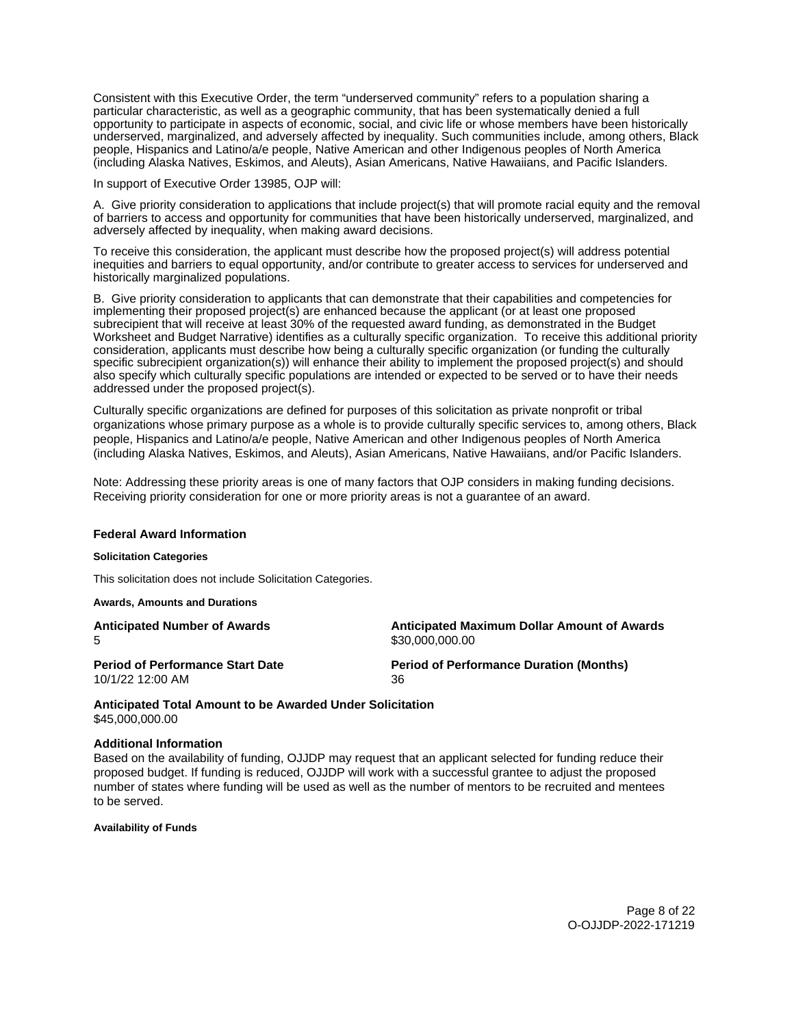<span id="page-7-0"></span>Consistent with this Executive Order, the term "underserved community" refers to a population sharing a particular characteristic, as well as a geographic community, that has been systematically denied a full opportunity to participate in aspects of economic, social, and civic life or whose members have been historically underserved, marginalized, and adversely affected by inequality. Such communities include, among others, Black people, Hispanics and Latino/a/e people, Native American and other Indigenous peoples of North America (including Alaska Natives, Eskimos, and Aleuts), Asian Americans, Native Hawaiians, and Pacific Islanders.

In support of Executive Order 13985, OJP will:

A. Give priority consideration to applications that include project(s) that will promote racial equity and the removal of barriers to access and opportunity for communities that have been historically underserved, marginalized, and adversely affected by inequality, when making award decisions.

To receive this consideration, the applicant must describe how the proposed project(s) will address potential inequities and barriers to equal opportunity, and/or contribute to greater access to services for underserved and historically marginalized populations.

B. Give priority consideration to applicants that can demonstrate that their capabilities and competencies for implementing their proposed project(s) are enhanced because the applicant (or at least one proposed subrecipient that will receive at least 30% of the requested award funding, as demonstrated in the Budget Worksheet and Budget Narrative) identifies as a culturally specific organization. To receive this additional priority consideration, applicants must describe how being a culturally specific organization (or funding the culturally specific subrecipient organization(s)) will enhance their ability to implement the proposed project(s) and should also specify which culturally specific populations are intended or expected to be served or to have their needs addressed under the proposed project(s).

Culturally specific organizations are defined for purposes of this solicitation as private nonprofit or tribal organizations whose primary purpose as a whole is to provide culturally specific services to, among others, Black people, Hispanics and Latino/a/e people, Native American and other Indigenous peoples of North America (including Alaska Natives, Eskimos, and Aleuts), Asian Americans, Native Hawaiians, and/or Pacific Islanders.

Note: Addressing these priority areas is one of many factors that OJP considers in making funding decisions. Receiving priority consideration for one or more priority areas is not a guarantee of an award.

#### **Federal Award Information**

#### **Solicitation Categories**

This solicitation does not include Solicitation Categories.

**Awards, Amounts and Durations** 

5 \$[30,000,000.00](https://30,000,000.00)

**Anticipated Number of Awards Anticipated Maximum Dollar Amount of Awards** 

10/1/22 12:00 AM 36

**Period of Performance Start Date Period of Performance Duration (Months)** 

**Anticipated Total Amount to be Awarded Under Solicitation**  [\\$45,000,000.00](https://45,000,000.00)

#### **Additional Information**

Based on the availability of funding, OJJDP may request that an applicant selected for funding reduce their proposed budget. If funding is reduced, OJJDP will work with a successful grantee to adjust the proposed number of states where funding will be used as well as the number of mentors to be recruited and mentees to be served.

**Availability of Funds** 

Page 8 of 22 O-OJJDP-2022-171219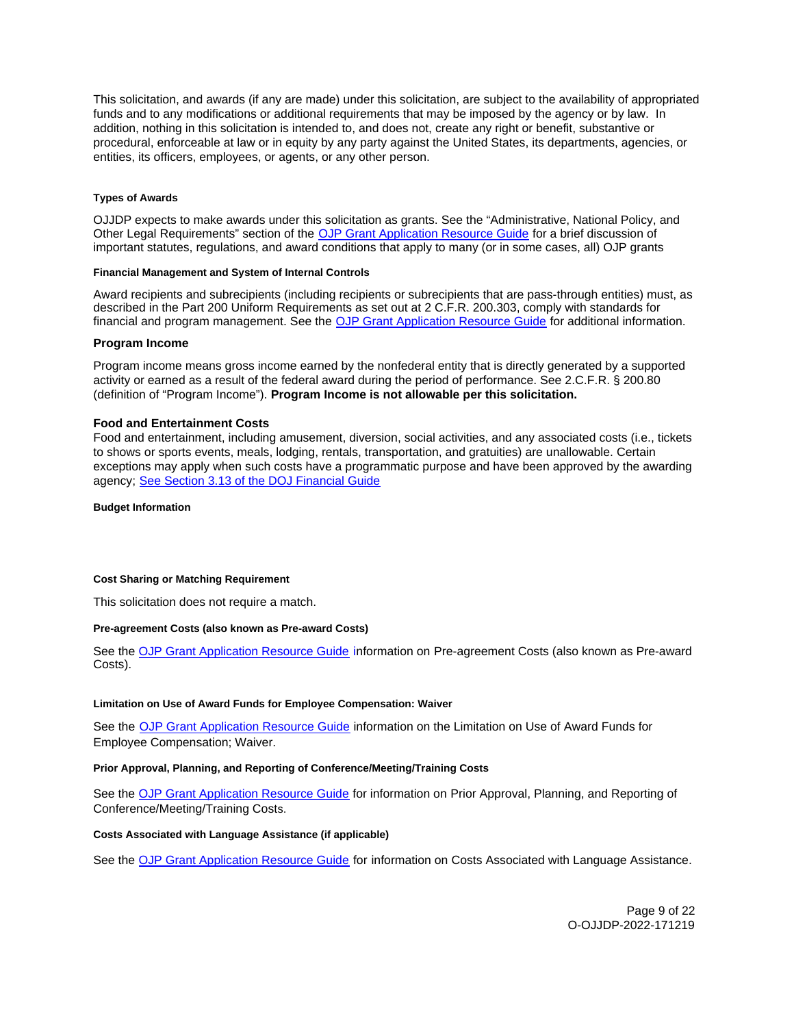<span id="page-8-0"></span>This solicitation, and awards (if any are made) under this solicitation, are subject to the availability of appropriated funds and to any modifications or additional requirements that may be imposed by the agency or by law. In addition, nothing in this solicitation is intended to, and does not, create any right or benefit, substantive or procedural, enforceable at law or in equity by any party against the United States, its departments, agencies, or entities, its officers, employees, or agents, or any other person.

# **Types of Awards**

OJJDP expects to make awards under this solicitation as grants. See the "Administrative, National Policy, and Other Legal Requirements" section of the [OJP Grant Application Resource Guide](https://ojp.gov/funding/Apply/Resources/Grant-App-Resource-Guide.htm) for a brief discussion of important statutes, regulations, and award conditions that apply to many (or in some cases, all) OJP grants

# **Financial Management and System of Internal Controls**

Award recipients and subrecipients (including recipients or subrecipients that are pass-through entities) must, as described in the Part 200 Uniform Requirements as set out at 2 C.F.R. 200.303, comply with standards for financial and program management. See the [OJP Grant Application Resource Guide](https://www.ojp.gov/funding/apply/ojp-grant-application-resource-guide#fm-internal-controls) for additional information.

# **Program Income**

Program income means gross income earned by the nonfederal entity that is directly generated by a supported activity or earned as a result of the federal award during the period of performance. See 2.C.F.R. § 200.80 (definition of "Program Income"). **Program Income is not allowable per this solicitation.** 

# **Food and Entertainment Costs**

Food and entertainment, including amusement, diversion, social activities, and any associated costs (i.e., tickets to shows or sports events, meals, lodging, rentals, transportation, and gratuities) are unallowable. Certain exceptions may apply when such costs have a programmatic purpose and have been approved by the awarding agency; [See Section 3.13 of the DOJ Financial Guide](https://www.ojp.gov/sites/g/files/xyckuh241/files/media/document/DOJ_FinancialGuide_1.pdf) 

**Budget Information** 

#### **Cost Sharing or Matching Requirement**

This solicitation does not require a match.

#### **Pre-agreement Costs (also known as Pre-award Costs)**

See the [OJP Grant Application Resource Guide](https://www.ojp.gov/funding/apply/ojp-grant-application-resource-guide#pre-agreement-costs) information on Pre-agreement Costs (also known as Pre-award Costs).

### **Limitation on Use of Award Funds for Employee Compensation: Waiver**

See the [OJP Grant Application Resource Guide](https://www.ojp.gov/funding/apply/ojp-grant-application-resource-guide#limitation-use-award) information on the Limitation on Use of Award Funds for Employee Compensation; Waiver.

# **Prior Approval, Planning, and Reporting of Conference/Meeting/Training Costs**

See the [OJP Grant Application Resource Guide](https://www.ojp.gov/funding/apply/ojp-grant-application-resource-guide#prior-approval) for information on Prior Approval, Planning, and Reporting of Conference/Meeting/Training Costs.

# **Costs Associated with Language Assistance (if applicable)**

See the [OJP Grant Application Resource Guide](https://www.ojp.gov/funding/apply/ojp-grant-application-resource-guide#costs-associated) for information on Costs Associated with Language Assistance.

Page 9 of 22 O-OJJDP-2022-171219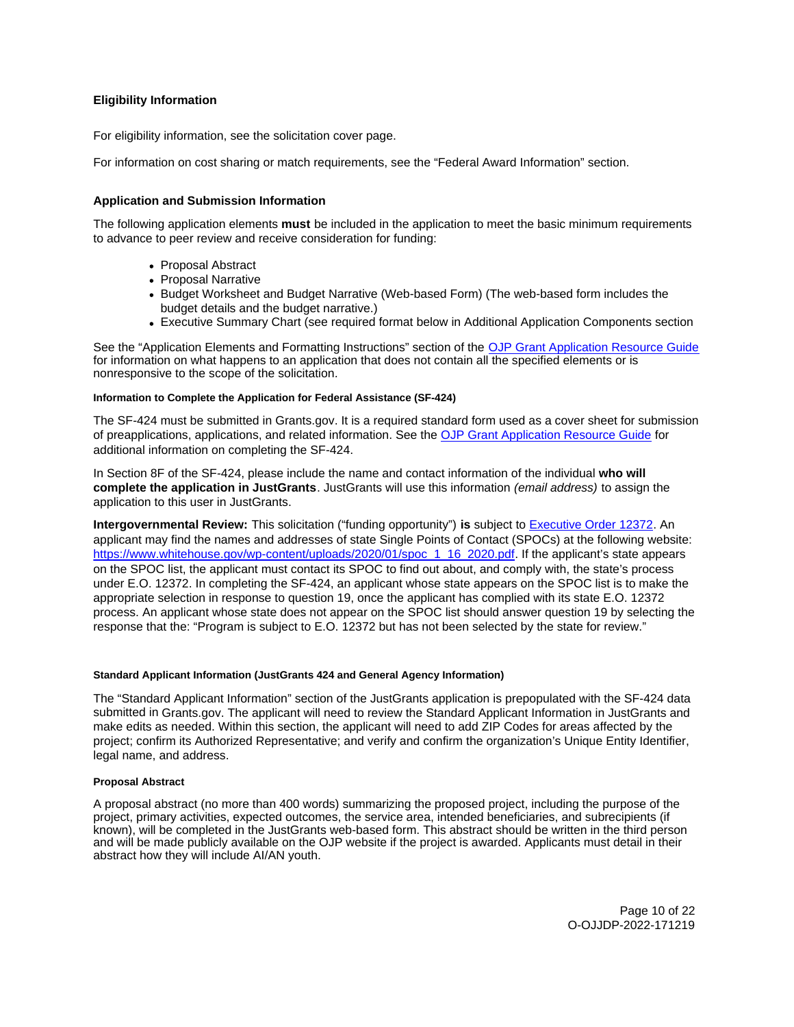# <span id="page-9-0"></span>**Eligibility Information**

For eligibility information, see the solicitation cover page.

For information on cost sharing or match requirements, see the "Federal Award Information" section.

# **Application and Submission Information**

The following application elements **must** be included in the application to meet the basic minimum requirements to advance to peer review and receive consideration for funding:

- Proposal Abstract
- Proposal Narrative
- Budget Worksheet and Budget Narrative (Web-based Form) (The web-based form includes the budget details and the budget narrative.)
- Executive Summary Chart (see required format below in Additional Application Components section

See the "Application Elements and Formatting Instructions" section of the [OJP Grant Application Resource Guide](https://www.ojp.gov/funding/apply/ojp-grant-application-resource-guide#application-elements)  for information on what happens to an application that does not contain all the specified elements or is nonresponsive to the scope of the solicitation.

#### **Information to Complete the Application for Federal Assistance (SF-424)**

The SF-424 must be submitted in [Grants.gov](https://Grants.gov). It is a required standard form used as a cover sheet for submission of preapplications, applications, and related information. See the [OJP Grant Application Resource Guide](https://www.ojp.gov/funding/apply/ojp-grant-application-resource-guide#complete-application) for additional information on completing the SF-424.

In Section 8F of the SF-424, please include the name and contact information of the individual **who will complete the application in JustGrants**. JustGrants will use this information (email address) to assign the application to this user in JustGrants.

**Intergovernmental Review:** This solicitation ("funding opportunity") **is** subject to [Executive Order 12372.](https://www.archives.gov/federal-register/codification/executive-order/12372.html) An applicant may find the names and addresses of state Single Points of Contact (SPOCs) at the following website: [https://www.whitehouse.gov/wp-content/uploads/2020/01/spoc\\_1\\_16\\_2020.pdf.](https://www.whitehouse.gov/wp-content/uploads/2020/01/spoc_1_16_2020.pdf) If the applicant's state appears on the SPOC list, the applicant must contact its SPOC to find out about, and comply with, the state's process under E.O. 12372. In completing the SF-424, an applicant whose state appears on the SPOC list is to make the appropriate selection in response to question 19, once the applicant has complied with its state E.O. 12372 process. An applicant whose state does not appear on the SPOC list should answer question 19 by selecting the response that the: "Program is subject to E.O. 12372 but has not been selected by the state for review."

### **Standard Applicant Information (JustGrants 424 and General Agency Information)**

The "Standard Applicant Information" section of the JustGrants application is prepopulated with the SF-424 data submitted in [Grants.gov.](https://Grants.gov) The applicant will need to review the Standard Applicant Information in JustGrants and make edits as needed. Within this section, the applicant will need to add ZIP Codes for areas affected by the project; confirm its Authorized Representative; and verify and confirm the organization's Unique Entity Identifier, legal name, and address.

#### **Proposal Abstract**

A proposal abstract (no more than 400 words) summarizing the proposed project, including the purpose of the project, primary activities, expected outcomes, the service area, intended beneficiaries, and subrecipients (if known), will be completed in the JustGrants web-based form. This abstract should be written in the third person and will be made publicly available on the OJP website if the project is awarded. Applicants must detail in their abstract how they will include AI/AN youth.

> Page 10 of 22 O-OJJDP-2022-171219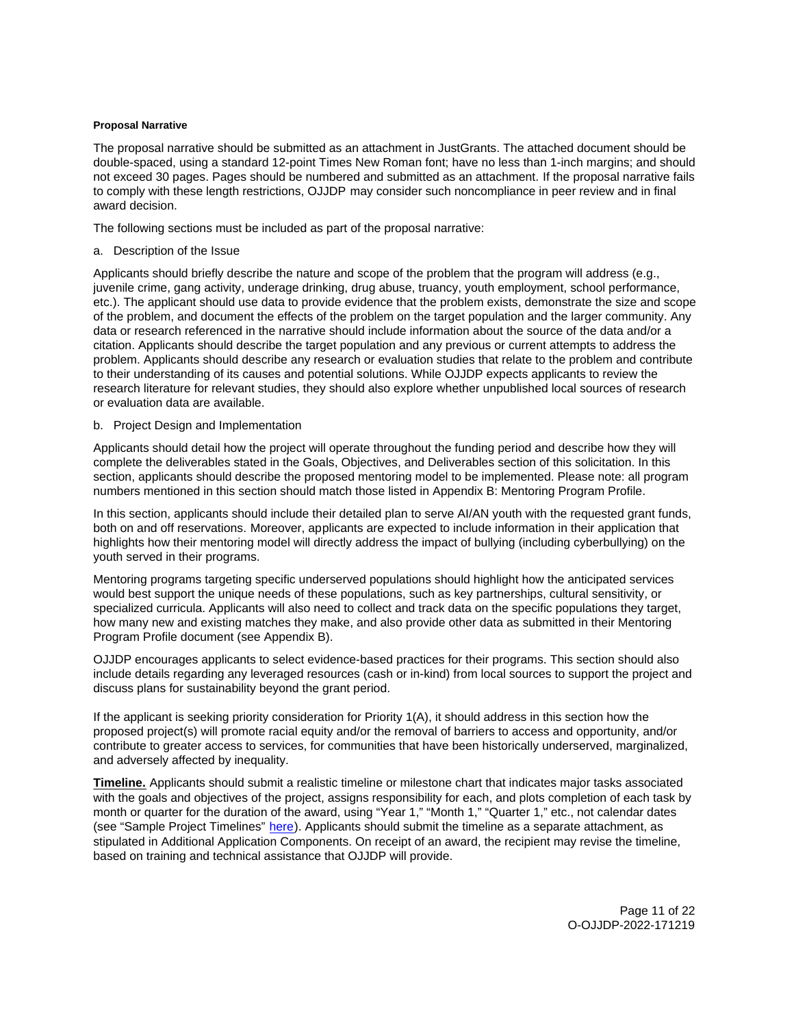# <span id="page-10-0"></span>**Proposal Narrative**

The proposal narrative should be submitted as an attachment in JustGrants. The attached document should be double-spaced, using a standard 12-point Times New Roman font; have no less than 1-inch margins; and should not exceed 30 pages. Pages should be numbered and submitted as an attachment. If the proposal narrative fails to comply with these length restrictions, OJJDP may consider such noncompliance in peer review and in final award decision.

The following sections must be included as part of the proposal narrative:

a. Description of the Issue

Applicants should briefly describe the nature and scope of the problem that the program will address (e.g., juvenile crime, gang activity, underage drinking, drug abuse, truancy, youth employment, school performance, etc.). The applicant should use data to provide evidence that the problem exists, demonstrate the size and scope of the problem, and document the effects of the problem on the target population and the larger community. Any data or research referenced in the narrative should include information about the source of the data and/or a citation. Applicants should describe the target population and any previous or current attempts to address the problem. Applicants should describe any research or evaluation studies that relate to the problem and contribute to their understanding of its causes and potential solutions. While OJJDP expects applicants to review the research literature for relevant studies, they should also explore whether unpublished local sources of research or evaluation data are available.

b. Project Design and Implementation

Applicants should detail how the project will operate throughout the funding period and describe how they will complete the deliverables stated in the Goals, Objectives, and Deliverables section of this solicitation. In this section, applicants should describe the proposed mentoring model to be implemented. Please note: all program numbers mentioned in this section should match those listed in Appendix B: Mentoring Program Profile.

In this section, applicants should include their detailed plan to serve AI/AN youth with the requested grant funds, both on and off reservations. Moreover, applicants are expected to include information in their application that highlights how their mentoring model will directly address the impact of bullying (including cyberbullying) on the youth served in their programs.

Mentoring programs targeting specific underserved populations should highlight how the anticipated services would best support the unique needs of these populations, such as key partnerships, cultural sensitivity, or specialized curricula. Applicants will also need to collect and track data on the specific populations they target, how many new and existing matches they make, and also provide other data as submitted in their Mentoring Program Profile document (see Appendix B).

OJJDP encourages applicants to select evidence-based practices for their programs. This section should also include details regarding any leveraged resources (cash or in-kind) from local sources to support the project and discuss plans for sustainability beyond the grant period.

If the applicant is seeking priority consideration for Priority 1(A), it should address in this section how the proposed project(s) will promote racial equity and/or the removal of barriers to access and opportunity, and/or contribute to greater access to services, for communities that have been historically underserved, marginalized, and adversely affected by inequality.

**Timeline.** Applicants should submit a realistic timeline or milestone chart that indicates major tasks associated with the goals and objectives of the project, assigns responsibility for each, and plots completion of each task by month or quarter for the duration of the award, using "Year 1," "Month 1," "Quarter 1," etc., not calendar dates (see "Sample Project Timelines" [here\)](https://ojjdp.ojp.gov/funding/ojjdp-sample-timelines). Applicants should submit the timeline as a separate attachment, as stipulated in Additional Application Components. On receipt of an award, the recipient may revise the timeline, based on training and technical assistance that OJJDP will provide.

> Page 11 of 22 O-OJJDP-2022-171219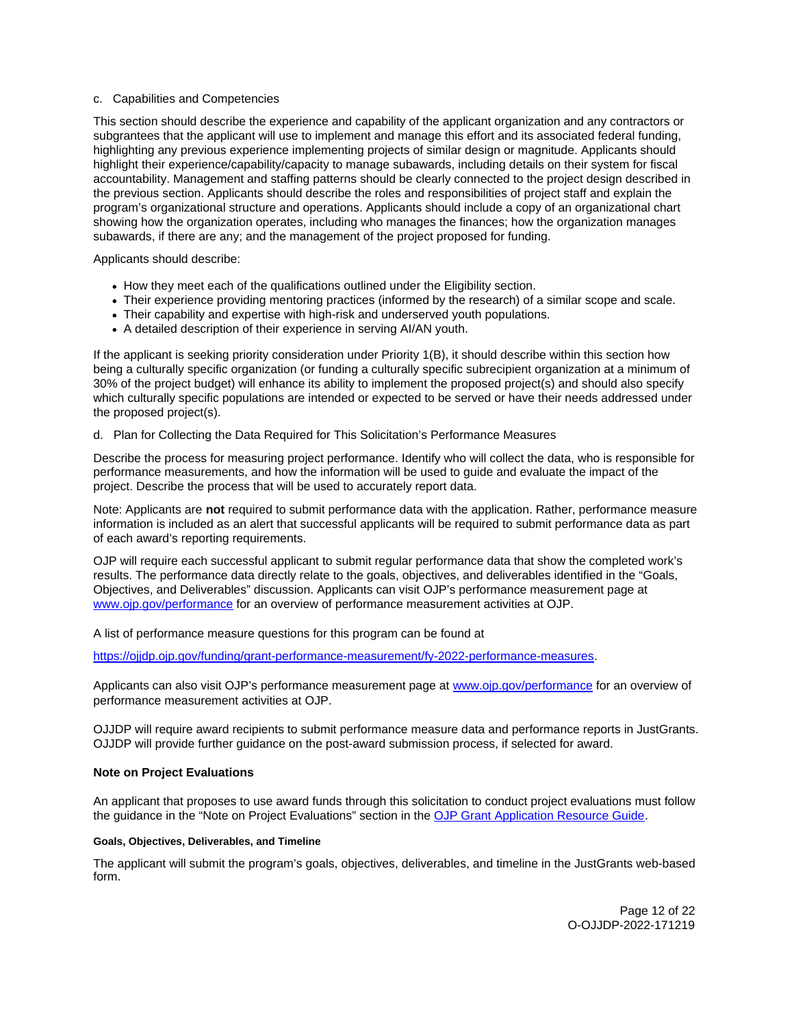# <span id="page-11-0"></span>c. Capabilities and Competencies

This section should describe the experience and capability of the applicant organization and any contractors or subgrantees that the applicant will use to implement and manage this effort and its associated federal funding, highlighting any previous experience implementing projects of similar design or magnitude. Applicants should highlight their experience/capability/capacity to manage subawards, including details on their system for fiscal accountability. Management and staffing patterns should be clearly connected to the project design described in the previous section. Applicants should describe the roles and responsibilities of project staff and explain the program's organizational structure and operations. Applicants should include a copy of an organizational chart showing how the organization operates, including who manages the finances; how the organization manages subawards, if there are any; and the management of the project proposed for funding.

# Applicants should describe:

- How they meet each of the qualifications outlined under the Eligibility section.
- Their experience providing mentoring practices (informed by the research) of a similar scope and scale.
- Their capability and expertise with high-risk and underserved youth populations.
- A detailed description of their experience in serving AI/AN youth.

If the applicant is seeking priority consideration under Priority 1(B), it should describe within this section how being a culturally specific organization (or funding a culturally specific subrecipient organization at a minimum of 30% of the project budget) will enhance its ability to implement the proposed project(s) and should also specify which culturally specific populations are intended or expected to be served or have their needs addressed under the proposed project(s).

# d. Plan for Collecting the Data Required for This Solicitation's Performance Measures

Describe the process for measuring project performance. Identify who will collect the data, who is responsible for performance measurements, and how the information will be used to guide and evaluate the impact of the project. Describe the process that will be used to accurately report data.

Note: Applicants are **not** required to submit performance data with the application. Rather, performance measure information is included as an alert that successful applicants will be required to submit performance data as part of each award's reporting requirements.

OJP will require each successful applicant to submit regular performance data that show the completed work's results. The performance data directly relate to the goals, objectives, and deliverables identified in the "Goals, Objectives, and Deliverables" discussion. Applicants can visit OJP's performance measurement page at [www.ojp.gov/performance](https://www.ojp.gov/performance) for an overview of performance measurement activities at OJP.

A list of performance measure questions for this program can be found at

[https://ojjdp.ojp.gov/funding/grant-performance-measurement/fy-2022-performance-measures.](https://ojjdp.ojp.gov/funding/grant-performance-measurement/fy-2022-performance-measures)

Applicants can also visit OJP's performance measurement page at [www.ojp.gov/performance](https://www.ojp.gov/performance) for an overview of performance measurement activities at OJP.

OJJDP will require award recipients to submit performance measure data and performance reports in JustGrants. OJJDP will provide further guidance on the post-award submission process, if selected for award.

# **Note on Project Evaluations**

An applicant that proposes to use award funds through this solicitation to conduct project evaluations must follow the guidance in the "Note on Project Evaluations" section in the [OJP Grant Application Resource Guide.](https://www.ojp.gov/funding/apply/ojp-grant-application-resource-guide#project-evaluations)

# **Goals, Objectives, Deliverables, and Timeline**

The applicant will submit the program's goals, objectives, deliverables, and timeline in the JustGrants web-based form.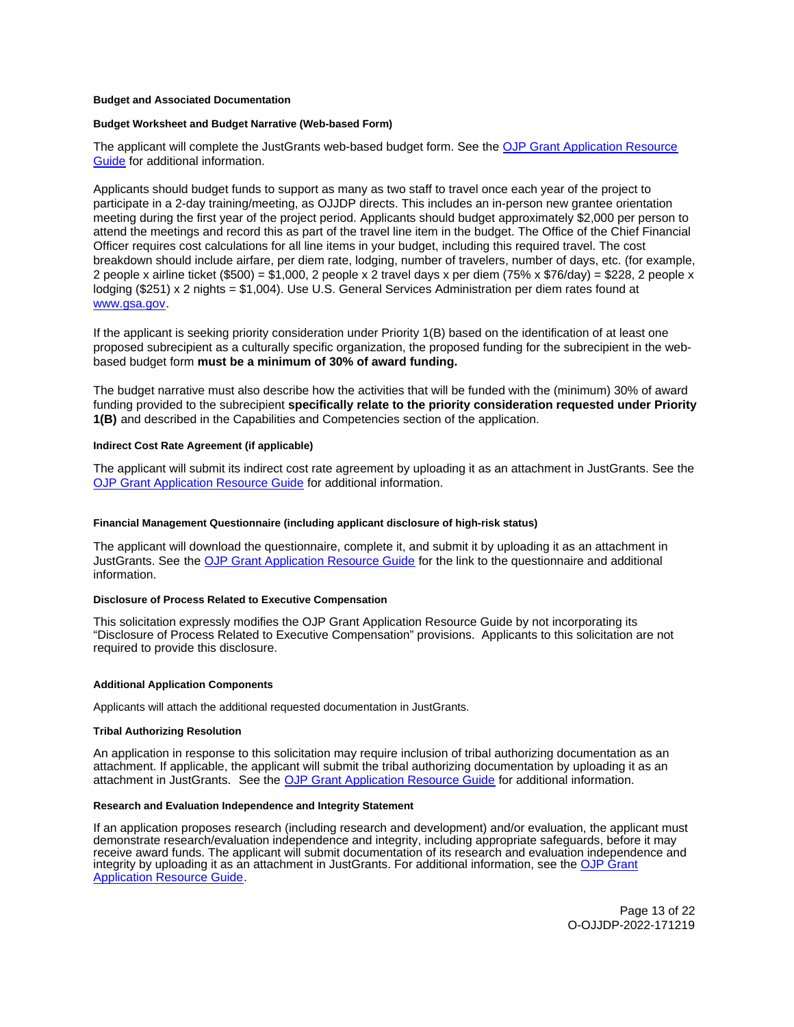#### <span id="page-12-0"></span>**Budget and Associated Documentation**

### **Budget Worksheet and Budget Narrative (Web-based Form)**

The applicant will complete the JustGrants web-based budget form. See the [OJP Grant Application Resource](https://www.ojp.gov/funding/apply/ojp-grant-application-resource-guide#budget-prep)  [Guide](https://www.ojp.gov/funding/apply/ojp-grant-application-resource-guide#budget-prep) for additional information.

Applicants should budget funds to support as many as two staff to travel once each year of the project to participate in a 2-day training/meeting, as OJJDP directs. This includes an in-person new grantee orientation meeting during the first year of the project period. Applicants should budget approximately \$2,000 per person to attend the meetings and record this as part of the travel line item in the budget. The Office of the Chief Financial Officer requires cost calculations for all line items in your budget, including this required travel. The cost breakdown should include airfare, per diem rate, lodging, number of travelers, number of days, etc. (for example, 2 people x airline ticket (\$500) = \$1,000, 2 people x 2 travel days x per diem (75% x \$76/day) = \$228, 2 people x lodging (\$251) x 2 nights = \$1,004). Use U.S. General Services Administration per diem rates found at [www.gsa.gov.](https://ojpnet.ojp.usdoj.gov/sites/it/Solicitations/OJJDP/cb955554-c26a-4fd4-8f71-0bcc42e3e4b1/Solicitation/www.gsa.gov)

If the applicant is seeking priority consideration under Priority 1(B) based on the identification of at least one proposed subrecipient as a culturally specific organization, the proposed funding for the subrecipient in the webbased budget form **must be a minimum of 30% of award funding.** 

The budget narrative must also describe how the activities that will be funded with the (minimum) 30% of award funding provided to the subrecipient **specifically relate to the priority consideration requested under Priority 1(B)** and described in the Capabilities and Competencies section of the application.

#### **Indirect Cost Rate Agreement (if applicable)**

The applicant will submit its indirect cost rate agreement by uploading it as an attachment in JustGrants. See the [OJP Grant Application Resource Guide](https://www.ojp.gov/funding/apply/ojp-grant-application-resource-guide#indirect-cost) for additional information.

#### **Financial Management Questionnaire (including applicant disclosure of high-risk status)**

The applicant will download the questionnaire, complete it, and submit it by uploading it as an attachment in JustGrants. See the [OJP Grant Application Resource Guide](https://www.ojp.gov/funding/apply/ojp-grant-application-resource-guide#fm-internal-controls-questionnaire) for the link to the questionnaire and additional information.

#### **Disclosure of Process Related to Executive Compensation**

This solicitation expressly modifies the OJP Grant Application Resource Guide by not incorporating its "Disclosure of Process Related to Executive Compensation" provisions. Applicants to this solicitation are not required to provide this disclosure.

#### **Additional Application Components**

Applicants will attach the additional requested documentation in JustGrants.

#### **Tribal Authorizing Resolution**

An application in response to this solicitation may require inclusion of tribal authorizing documentation as an attachment. If applicable, the applicant will submit the tribal authorizing documentation by uploading it as an attachment in JustGrants. See the [OJP Grant Application Resource Guide](https://www.ojp.gov/funding/apply/ojp-grant-application-resource-guide) for additional information.

### **Research and Evaluation Independence and Integrity Statement**

If an application proposes research (including research and development) and/or evaluation, the applicant must demonstrate research/evaluation independence and integrity, including appropriate safeguards, before it may receive award funds. The applicant will submit documentation of its research and evaluation independence and integrity by uploading it as an attachment in JustGrants. For additional information, see the [OJP Grant](https://www.ojp.gov/funding/apply/ojp-grant-application-resource-guide#research-evaluation)  [Application Resource Guide.](https://www.ojp.gov/funding/apply/ojp-grant-application-resource-guide#research-evaluation)

> Page 13 of 22 O-OJJDP-2022-171219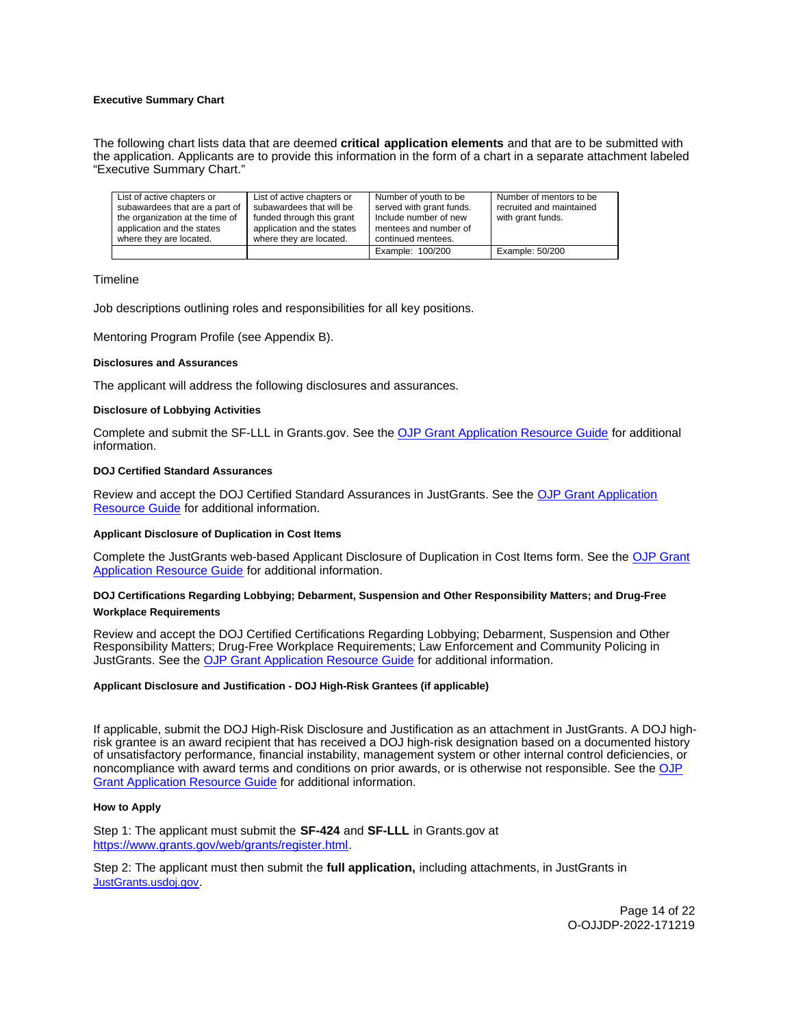# <span id="page-13-0"></span>**Executive Summary Chart**

The following chart lists data that are deemed **critical application elements** and that are to be submitted with the application. Applicants are to provide this information in the form of a chart in a separate attachment labeled "Executive Summary Chart."

| List of active chapters or<br>subawardees that are a part of<br>the organization at the time of<br>application and the states<br>where they are located. | List of active chapters or<br>subawardees that will be<br>funded through this grant<br>application and the states<br>where they are located. | Number of youth to be<br>served with grant funds.<br>Include number of new<br>mentees and number of<br>continued mentees. | Number of mentors to be<br>recruited and maintained<br>with grant funds. |
|----------------------------------------------------------------------------------------------------------------------------------------------------------|----------------------------------------------------------------------------------------------------------------------------------------------|---------------------------------------------------------------------------------------------------------------------------|--------------------------------------------------------------------------|
|                                                                                                                                                          |                                                                                                                                              |                                                                                                                           |                                                                          |
|                                                                                                                                                          |                                                                                                                                              | Example: 100/200                                                                                                          | Example: 50/200                                                          |

#### **Timeline**

Job descriptions outlining roles and responsibilities for all key positions.

Mentoring Program Profile (see Appendix B).

#### **Disclosures and Assurances**

The applicant will address the following disclosures and assurances.

#### **Disclosure of Lobbying Activities**

Complete and submit the SF-LLL in [Grants.gov.](https://Grants.gov) See the [OJP Grant Application Resource Guide](https://www.ojp.gov/funding/apply/ojp-grant-application-resource-guide#disclosure-lobby) for additional information.

### **DOJ Certified Standard Assurances**

Review and accept the DOJ Certified Standard Assurances in JustGrants. See the [OJP Grant Application](https://www.ojp.gov/funding/apply/ojp-grant-application-resource-guide#administrative)  [Resource Guide](https://www.ojp.gov/funding/apply/ojp-grant-application-resource-guide#administrative) for additional information.

#### **Applicant Disclosure of Duplication in Cost Items**

Complete the JustGrants web-based Applicant Disclosure of Duplication in Cost Items form. See the [OJP Grant](https://www.ojp.gov/funding/apply/ojp-grant-application-resource-guide#applicant-disclosure-pending-applications)  [Application Resource Guide](https://www.ojp.gov/funding/apply/ojp-grant-application-resource-guide#applicant-disclosure-pending-applications) for additional information.

# **DOJ Certifications Regarding Lobbying; Debarment, Suspension and Other Responsibility Matters; and Drug-Free Workplace Requirements**

Review and accept the DOJ Certified Certifications Regarding Lobbying; Debarment, Suspension and Other Responsibility Matters; Drug-Free Workplace Requirements; Law Enforcement and Community Policing in JustGrants. See the [OJP Grant Application Resource Guide](https://www.ojp.gov/funding/apply/ojp-grant-application-resource-guide#administrative) for additional information.

# **Applicant Disclosure and Justification - DOJ High-Risk Grantees (if applicable)**

If applicable, submit the DOJ High-Risk Disclosure and Justification as an attachment in JustGrants. A DOJ highrisk grantee is an award recipient that has received a DOJ high-risk designation based on a documented history of unsatisfactory performance, financial instability, management system or other internal control deficiencies, or noncompliance with award terms and conditions on prior awards, or is otherwise not responsible. See the OJP [Grant Application Resource Guide](https://www.ojp.gov/funding/apply/ojp-grant-application-resource-guide#applicant-disclosure-justification) for additional information.

#### **How to Apply**

Step 1: The applicant must submit the **SF-424** and **SF-LLL** in [Grants.gov](https://Grants.gov) at [https://www.grants.gov/web/grants/register.html.](https://www.grants.gov/web/grants/register.html)

Step 2: The applicant must then submit the **full application,** including attachments, in JustGrants in [JustGrants.usdoj.gov.](https://justicegrants.usdoj.gov/)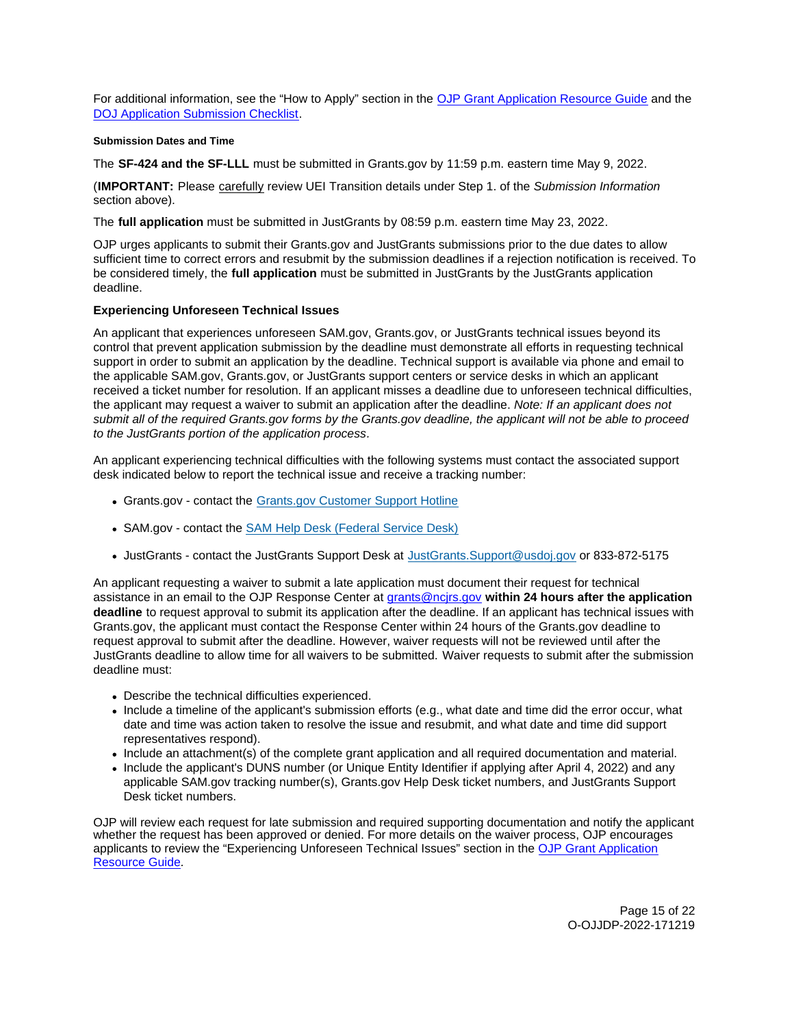<span id="page-14-0"></span>For additional information, see the "How to Apply" section in the [OJP Grant Application Resource Guide](https://www.ojp.gov/funding/apply/ojp-grant-application-resource-guide#apply) and the [DOJ Application Submission Checklist.](https://justicegrants.usdoj.gov/sites/g/files/xyckuh296/files/media/document/appln-submission-checklist.pdf)

# **Submission Dates and Time**

The **SF-424 and the SF-LLL** must be submitted in [Grants.gov](https://Grants.gov) by 11:59 p.m. eastern time May 9, 2022.

(**IMPORTANT:** Please carefully review UEI Transition details under Step 1. of the Submission Information section above).

The **full application** must be submitted in JustGrants by 08:59 p.m. eastern time May 23, 2022.

OJP urges applicants to submit their [Grants.gov](https://Grants.gov) and JustGrants submissions prior to the due dates to allow sufficient time to correct errors and resubmit by the submission deadlines if a rejection notification is received. To be considered timely, the **full application** must be submitted in JustGrants by the JustGrants application deadline.

# **Experiencing Unforeseen Technical Issues**

An applicant that experiences unforeseen SAM.gov, [Grants.gov,](https://Grants.gov) or JustGrants technical issues beyond its control that prevent application submission by the deadline must demonstrate all efforts in requesting technical support in order to submit an application by the deadline. Technical support is available via phone and email to the applicable SAM.gov, [Grants.gov,](https://Grants.gov) or JustGrants support centers or service desks in which an applicant received a ticket number for resolution. If an applicant misses a deadline due to unforeseen technical difficulties, the applicant may request a waiver to submit an application after the deadline. Note: If an applicant does not submit all of the required [Grants.gov](https://Grants.gov) forms by the [Grants.gov](https://Grants.gov) deadline, the applicant will not be able to proceed to the JustGrants portion of the application process.

An applicant experiencing technical difficulties with the following systems must contact the associated support desk indicated below to report the technical issue and receive a tracking number:

- [Grants.gov](https://Grants.gov)  contact the [Grants.gov Customer Support Hotline](https://www.grants.gov/web/grants/support.html)
- SAM.gov contact the [SAM Help Desk \(Federal Service Desk\)](https://www.fsd.gov/gsafsd_sp)
- JustGrants contact the JustGrants Support Desk at [JustGrants.Support@usdoj.gov](mailto:JustGrants.Support@usdoj.gov) or 833-872-5175

An applicant requesting a waiver to submit a late application must document their request for technical assistance in an email to the OJP Response Center at [grants@ncjrs.gov](file:///C:/Users/local_Yehj/INetCache/Content.Outlook/20U4XBR7/grants@ncjrs.gov) **within 24 hours after the application deadline** to request approval to submit its application after the deadline. If an applicant has technical issues with [Grants.gov,](https://Grants.gov) the applicant must contact the Response Center within 24 hours of the [Grants.gov](https://Grants.gov) deadline to request approval to submit after the deadline. However, waiver requests will not be reviewed until after the JustGrants deadline to allow time for all waivers to be submitted. Waiver requests to submit after the submission deadline must:

- Describe the technical difficulties experienced.
- Include a timeline of the applicant's submission efforts (e.g., what date and time did the error occur, what date and time was action taken to resolve the issue and resubmit, and what date and time did support representatives respond).
- Include an attachment(s) of the complete grant application and all required documentation and material.
- Include the applicant's DUNS number (or Unique Entity Identifier if applying after April 4, 2022) and any applicable SAM.gov tracking number(s), [Grants.gov](https://Grants.gov) Help Desk ticket numbers, and JustGrants Support Desk ticket numbers.

OJP will review each request for late submission and required supporting documentation and notify the applicant whether the request has been approved or denied. For more details on the waiver process, OJP encourages applicants to review the "Experiencing Unforeseen Technical Issues" section in the [OJP Grant Application](https://www.ojp.gov/funding/apply/ojp-grant-application-resource-guide#experiencing-unforeseen-technical-issues)  [Resource Guide](https://www.ojp.gov/funding/apply/ojp-grant-application-resource-guide#experiencing-unforeseen-technical-issues).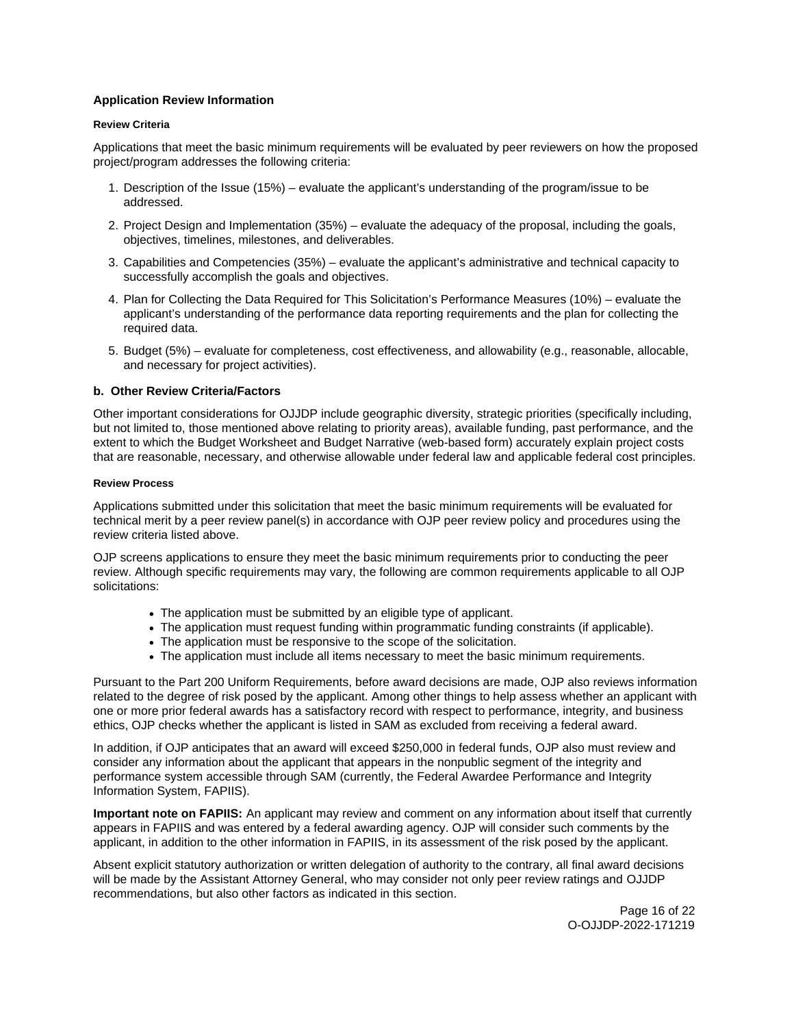# <span id="page-15-0"></span>**Application Review Information**

# **Review Criteria**

Applications that meet the basic minimum requirements will be evaluated by peer reviewers on how the proposed project/program addresses the following criteria:

- 1. Description of the Issue (15%) evaluate the applicant's understanding of the program/issue to be addressed.
- 2. Project Design and Implementation (35%) evaluate the adequacy of the proposal, including the goals, objectives, timelines, milestones, and deliverables.
- 3. Capabilities and Competencies (35%) evaluate the applicant's administrative and technical capacity to successfully accomplish the goals and objectives.
- 4. Plan for Collecting the Data Required for This Solicitation's Performance Measures (10%) evaluate the applicant's understanding of the performance data reporting requirements and the plan for collecting the required data.
- 5. Budget (5%) evaluate for completeness, cost effectiveness, and allowability (e.g., reasonable, allocable, and necessary for project activities).

# **b. Other Review Criteria/Factors**

Other important considerations for OJJDP include geographic diversity, strategic priorities (specifically including, but not limited to, those mentioned above relating to priority areas), available funding, past performance, and the extent to which the Budget Worksheet and Budget Narrative (web-based form) accurately explain project costs that are reasonable, necessary, and otherwise allowable under federal law and applicable federal cost principles.

# **Review Process**

Applications submitted under this solicitation that meet the basic minimum requirements will be evaluated for technical merit by a peer review panel(s) in accordance with OJP peer review policy and procedures using the review criteria listed above.

OJP screens applications to ensure they meet the basic minimum requirements prior to conducting the peer review. Although specific requirements may vary, the following are common requirements applicable to all OJP solicitations:

- The application must be submitted by an eligible type of applicant.
- The application must request funding within programmatic funding constraints (if applicable).
- The application must be responsive to the scope of the solicitation.
- The application must include all items necessary to meet the basic minimum requirements.

Pursuant to the Part 200 Uniform Requirements, before award decisions are made, OJP also reviews information related to the degree of risk posed by the applicant. Among other things to help assess whether an applicant with one or more prior federal awards has a satisfactory record with respect to performance, integrity, and business ethics, OJP checks whether the applicant is listed in SAM as excluded from receiving a federal award.

In addition, if OJP anticipates that an award will exceed \$250,000 in federal funds, OJP also must review and consider any information about the applicant that appears in the nonpublic segment of the integrity and performance system accessible through SAM (currently, the Federal Awardee Performance and Integrity Information System, FAPIIS).

**Important note on FAPIIS:** An applicant may review and comment on any information about itself that currently appears in FAPIIS and was entered by a federal awarding agency. OJP will consider such comments by the applicant, in addition to the other information in FAPIIS, in its assessment of the risk posed by the applicant.

Absent explicit statutory authorization or written delegation of authority to the contrary, all final award decisions will be made by the Assistant Attorney General, who may consider not only peer review ratings and OJJDP recommendations, but also other factors as indicated in this section.

> Page 16 of 22 O-OJJDP-2022-171219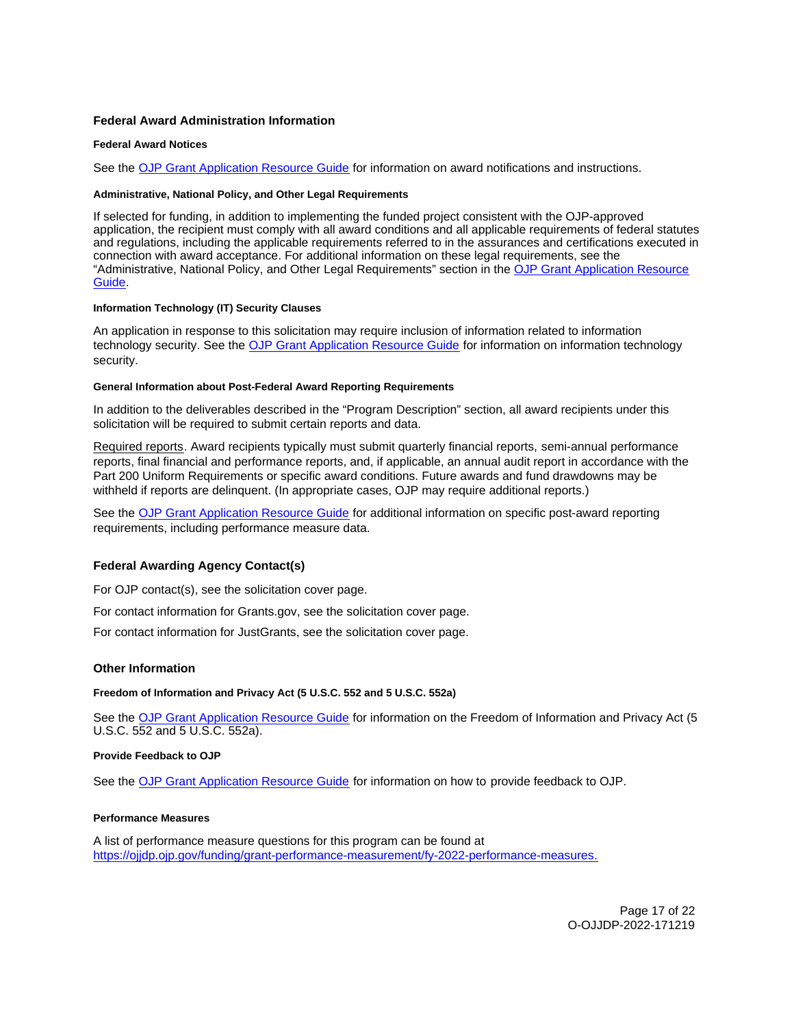# <span id="page-16-0"></span>**Federal Award Administration Information**

### **Federal Award Notices**

See the [OJP Grant Application Resource Guide](https://www.ojp.gov/funding/apply/ojp-grant-application-resource-guide#federal-award-notices) for information on award notifications and instructions.

#### **Administrative, National Policy, and Other Legal Requirements**

If selected for funding, in addition to implementing the funded project consistent with the OJP-approved application, the recipient must comply with all award conditions and all applicable requirements of federal statutes and regulations, including the applicable requirements referred to in the assurances and certifications executed in connection with award acceptance. For additional information on these legal requirements, see the "Administrative, National Policy, and Other Legal Requirements" section in the [OJP Grant Application Resource](https://www.ojp.gov/funding/apply/ojp-grant-application-resource-guide#administrative)  [Guide.](https://www.ojp.gov/funding/apply/ojp-grant-application-resource-guide#administrative)

# **Information Technology (IT) Security Clauses**

An application in response to this solicitation may require inclusion of information related to information technology security. See the [OJP Grant Application Resource Guide](https://www.ojp.gov/funding/apply/ojp-grant-application-resource-guide#information-technology) for information on information technology security.

#### **General Information about Post-Federal Award Reporting Requirements**

In addition to the deliverables described in the "Program Description" section, all award recipients under this solicitation will be required to submit certain reports and data.

Required reports. Award recipients typically must submit quarterly financial reports, semi-annual performance reports, final financial and performance reports, and, if applicable, an annual audit report in accordance with the Part 200 Uniform Requirements or specific award conditions. Future awards and fund drawdowns may be withheld if reports are delinquent. (In appropriate cases, OJP may require additional reports.)

See the [OJP Grant Application Resource Guide](https://www.ojp.gov/funding/Apply/Resources/Grant-App-Resource-Guide.htm) for additional information on specific post-award reporting requirements, including performance measure data.

# **Federal Awarding Agency Contact(s)**

For OJP contact(s), see the solicitation cover page.

For contact information for [Grants.gov](https://Grants.gov), see the solicitation cover page.

For contact information for JustGrants, see the solicitation cover page.

# **Other Information**

**Freedom of Information and Privacy Act (5 U.S.C. 552 and 5 U.S.C. 552a)** 

See the [OJP Grant Application Resource Guide](https://www.ojp.gov/funding/apply/ojp-grant-application-resource-guide#foia) for information on the Freedom of Information and Privacy Act (5 U.S.C. 552 and 5 U.S.C. 552a).

#### **Provide Feedback to OJP**

See the [OJP Grant Application Resource Guide](https://www.ojp.gov/funding/apply/ojp-grant-application-resource-guide#feedback) for information on how to provide feedback to OJP.

#### **Performance Measures**

A list of performance measure questions for this program can be found at [https://ojjdp.ojp.gov/funding/grant-performance-measurement/fy-2022-performance-measures.](https://ojjdp.ojp.gov/funding/grant-performance-measurement/fy-2021-performance-measures)

> Page 17 of 22 O-OJJDP-2022-171219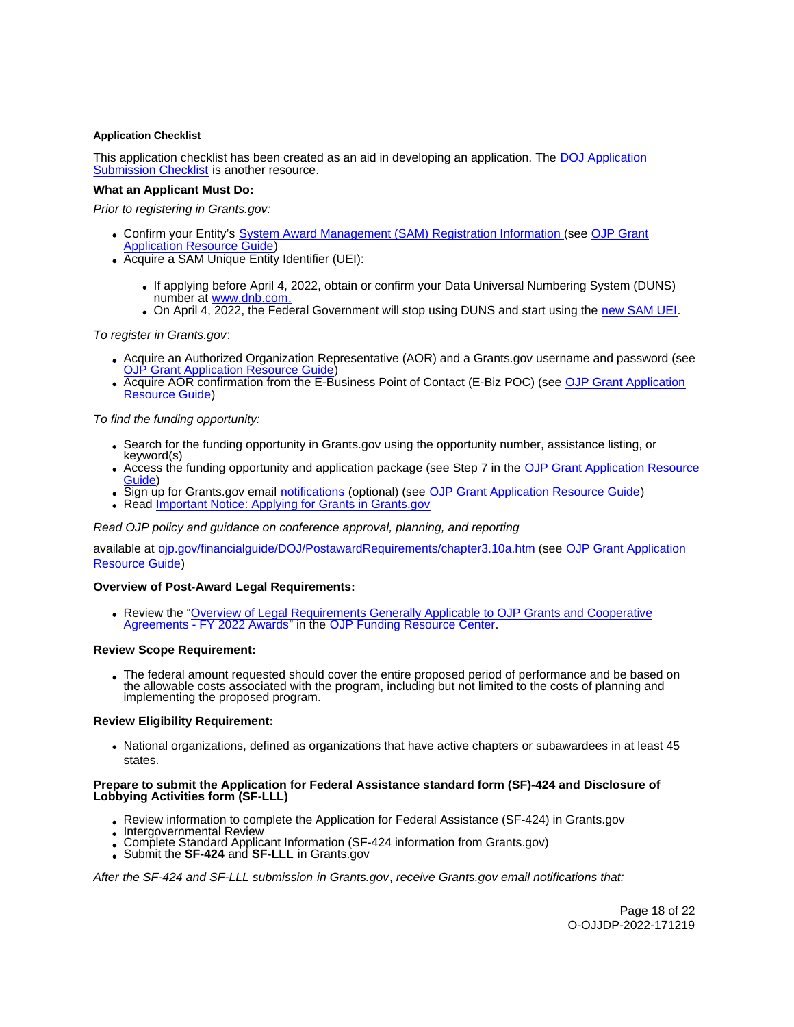# <span id="page-17-0"></span>**Application Checklist**

This application checklist has been created as an aid in developing an application. The DOJ Application [Submission Checklist](https://justicegrants.usdoj.gov/sites/g/files/xyckuh296/files/media/document/appln-submission-checklist.pdf) is another resource.

# **What an Applicant Must Do:**

Prior to registering in [Grants.gov](https://Grants.gov):

- Confirm your Entity's [System Award Management \(SAM\)](https://sam.gov/SAM/) Registration Information (see [OJP Grant](https://www.ojp.gov/funding/apply/ojp-grant-application-resource-guide#apply)  [Application Resource Guide\)](https://www.ojp.gov/funding/apply/ojp-grant-application-resource-guide#apply)
- Acquire a SAM Unique Entity Identifier (UEI):
	- If applying before April 4, 2022, obtain or confirm your Data Universal Numbering System (DUNS) number at [www.dnb.com.](http://www.dnb.com)
	- On April 4, 2022, the Federal Government will stop using DUNS and start using the [new SAM UEI.](https://justicegrants.usdoj.gov/resources/system-for-award-management#transition-to-unique-entity-id-sam)

To register in [Grants.gov](https://Grants.gov):

- Acquire an Authorized Organization Representative (AOR) and a [Grants.gov](https://Grants.gov) username and password (see **[OJP Grant Application Resource Guide\)](https://www.ojp.gov/funding/apply/ojp-grant-application-resource-guide#apply)**
- Acquire AOR confirmation from the E-Business Point of Contact (E-Biz POC) (see [OJP Grant Application](https://www.ojp.gov/funding/apply/ojp-grant-application-resource-guide#apply)  [Resource Guide\)](https://www.ojp.gov/funding/apply/ojp-grant-application-resource-guide#apply)

# To find the funding opportunity:

- Search for the funding opportunity in [Grants.gov](https://Grants.gov) using the opportunity number, assistance listing, or keyword(s)
- Access the funding opportunity and application package (see Step 7 in the [OJP Grant Application Resource](https://www.ojp.gov/funding/apply/ojp-grant-application-resource-guide#apply)  [Guide\)](https://www.ojp.gov/funding/apply/ojp-grant-application-resource-guide#apply)
- . Sign up for [Grants.gov](https://Grants.gov) email [notifications](https://www.grants.gov/web/grants/manage-subscriptions.html) (optional) (see [OJP Grant Application Resource Guide\)](https://www.ojp.gov/funding/apply/ojp-grant-application-resource-guide#apply)
- Read Important Notice: Applying for Grants in Grants.gov

Read OJP policy and guidance on conference approval, planning, and reporting

available at [ojp.gov/financialguide/DOJ/PostawardRequirements/chapter3.10a.htm](https://ojp.gov/financialguide/DOJ/PostawardRequirements/chapter3.10a.htm) (see [OJP Grant Application](https://www.ojp.gov/funding/apply/ojp-grant-application-resource-guide#prior-approval)  [Resource Guide\)](https://www.ojp.gov/funding/apply/ojp-grant-application-resource-guide#prior-approval)

#### **Overview of Post-Award Legal Requirements:**

Review the ["Overview of Legal Requirements Generally Applicable to OJP Grants and Cooperative](https://www.ojp.gov/funding/explore/legal-overview-awards)  [Agreements - FY 2022 Awards"](https://www.ojp.gov/funding/explore/legal-overview-awards) in the [OJP Funding Resource Center.](https://www.ojp.gov/funding/explore/legal-overview-awards)

#### **Review Scope Requirement:**

The federal amount requested should cover the entire proposed period of performance and be based on the allowable costs associated with the program, including but not limited to the costs of planning and implementing the proposed program.

#### **Review Eligibility Requirement:**

National organizations, defined as organizations that have active chapters or subawardees in at least 45 states.

#### **Prepare to submit the Application for Federal Assistance standard form (SF)-424 and Disclosure of Lobbying Activities form (SF-LLL)**

- Review information to complete the Application for Federal Assistance (SF-424) in [Grants.gov](https://Grants.gov)
- Intergovernmental Review
- Complete Standard Applicant Information (SF-424 information from [Grants.gov](https://Grants.gov)) Submit the **SF-424** and **SF-LLL** in Grants.gov
- 

After the SF-424 and SF-LLL submission in [Grants.gov](https://Grants.gov), receive [Grants.gov](https://Grants.gov) email notifications that: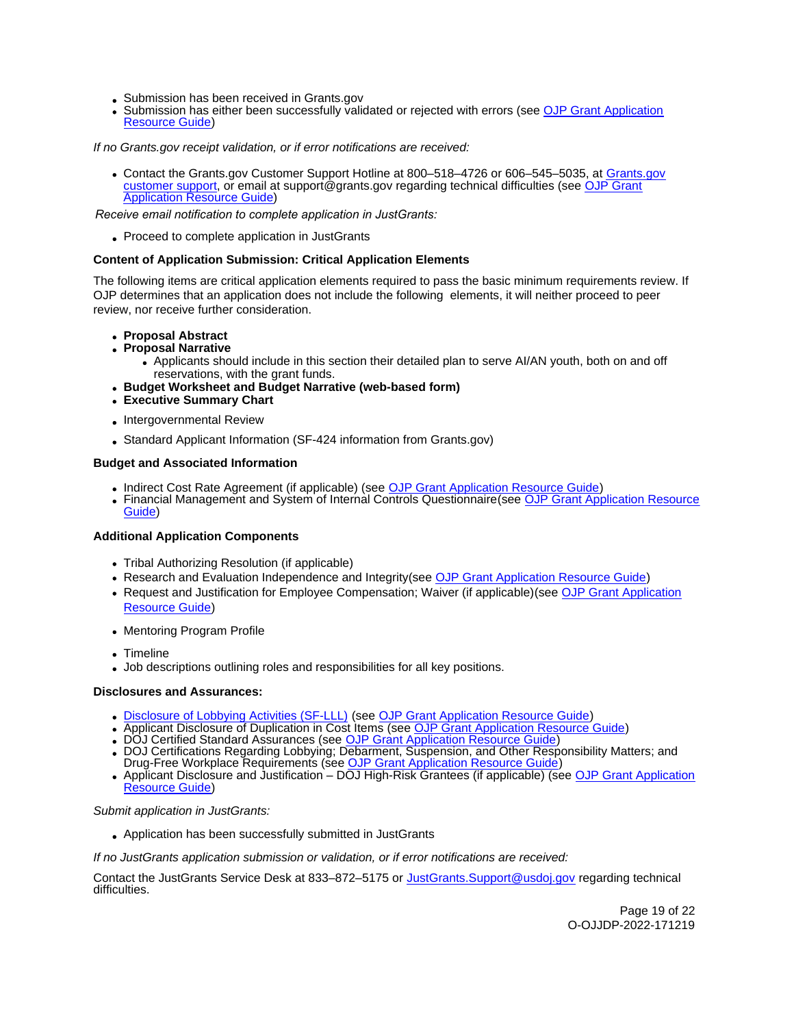- Submission has been received in [Grants.gov](https://Grants.gov)
- Submission has either been successfully validated or rejected with errors (see OJP Grant Application [Resource Guide\)](https://www.ojp.gov/funding/apply/ojp-grant-application-resource-guide#apply)

If no [Grants.gov](https://Grants.gov) receipt validation, or if error notifications are received:

Contact the Grants.gov Customer Support Hotline at 800–518–4726 or 606–545–5035, at [Grants.gov](https://www.grants.gov/web/grants/support.html) [customer support,](https://www.grants.gov/web/grants/support.html) or email at [support@grants.gov](mailto:support@grants.gov) regarding technical difficulties (see [OJP Grant](https://www.ojp.gov/funding/apply/ojp-grant-application-resource-guide#apply) **Application Resource Guide**)

*Receive email notification to complete application in JustGrants:*

Proceed to complete application in JustGrants

# **Content of Application Submission: Critical Application Elements**

The following items are critical application elements required to pass the basic minimum requirements review. If OJP determines that an application does not include the following elements, it will neither proceed to peer review, nor receive further consideration.

- **Proposal Abstract**
- **Proposal Narrative** 
	- Applicants should include in this section their detailed plan to serve AI/AN youth, both on and off reservations, with the grant funds.
- **Budget Worksheet and Budget Narrative (web-based form)**
- **Executive Summary Chart**
- Intergovernmental Review
- Standard Applicant Information (SF-424 information from [Grants.gov\)](https://Grants.gov)

# **Budget and Associated Information**

- Indirect Cost Rate Agreement (if applicable) (see [OJP Grant Application Resource Guide\)](https://ojp.gov/funding/Apply/Resources/Grant-App-Resource-Guide.htm)
- Financial Management and System of Internal Controls Questionnaire(see [OJP Grant Application Resource](https://ojp.gov/funding/Apply/Resources/Grant-App-Resource-Guide.htm)  [Guide\)](https://ojp.gov/funding/Apply/Resources/Grant-App-Resource-Guide.htm)

# **Additional Application Components**

- Tribal Authorizing Resolution (if applicable)
- Research and Evaluation Independence and Integrity(see [OJP Grant Application Resource Guide\)](https://ojp.gov/funding/Apply/Resources/Grant-App-Resource-Guide.htm)
- Request and Justification for Employee Compensation; Waiver (if applicable)(see OJP Grant Application [Resource Guide\)](https://ojp.gov/funding/Apply/Resources/Grant-App-Resource-Guide.htm)
- Mentoring Program Profile
- Timeline
- Job descriptions outlining roles and responsibilities for all key positions.

#### **Disclosures and Assurances:**

- [Disclosure of Lobbying Activities \(SF-LLL\)](https://ojp.gov/funding/Apply/Resources/Disclosure.pdf) (see [OJP Grant Application Resource Guide\)](https://www.ojp.gov/funding/apply/ojp-grant-application-resource-guide#disclosure-lobby)
- Applicant Disclosure of Duplication in Cost Items (see [OJP Grant Application Resource Guide\)](https://www.ojp.gov/funding/apply/ojp-grant-application-resource-guide#applicant-disclosure-pending-applications)<br>• DOJ Certified Standard Assurances (see OJP Grant Application Resource Guide)
- 
- DOJ Certifications Regarding Lobbying; [Debarment, Suspension, and Other Resp](https://www.ojp.gov/funding/apply/ojp-grant-application-resource-guide#administrative)onsibility Matters; and Drug-Free Workplace Requirements (see [OJP Grant Application Resource Guide\)](https://www.ojp.gov/funding/apply/ojp-grant-application-resource-guide#administrative)
- Applicant Disclosure and Justification DOJ High-Risk Grantees (if applicable) (see OJP Grant Application [Resource Guide\)](https://www.ojp.gov/funding/apply/ojp-grant-application-resource-guide#applicant-disclosure-justification)

# Submit application in JustGrants:

Application has been successfully submitted in JustGrants

If no JustGrants application submission or validation, or if error notifications are received:

Contact the JustGrants Service Desk at 833–872–5175 or *JustGrants.Support@usdoj.gov* regarding technical difficulties.

Page 19 of 22 O-OJJDP-2022-171219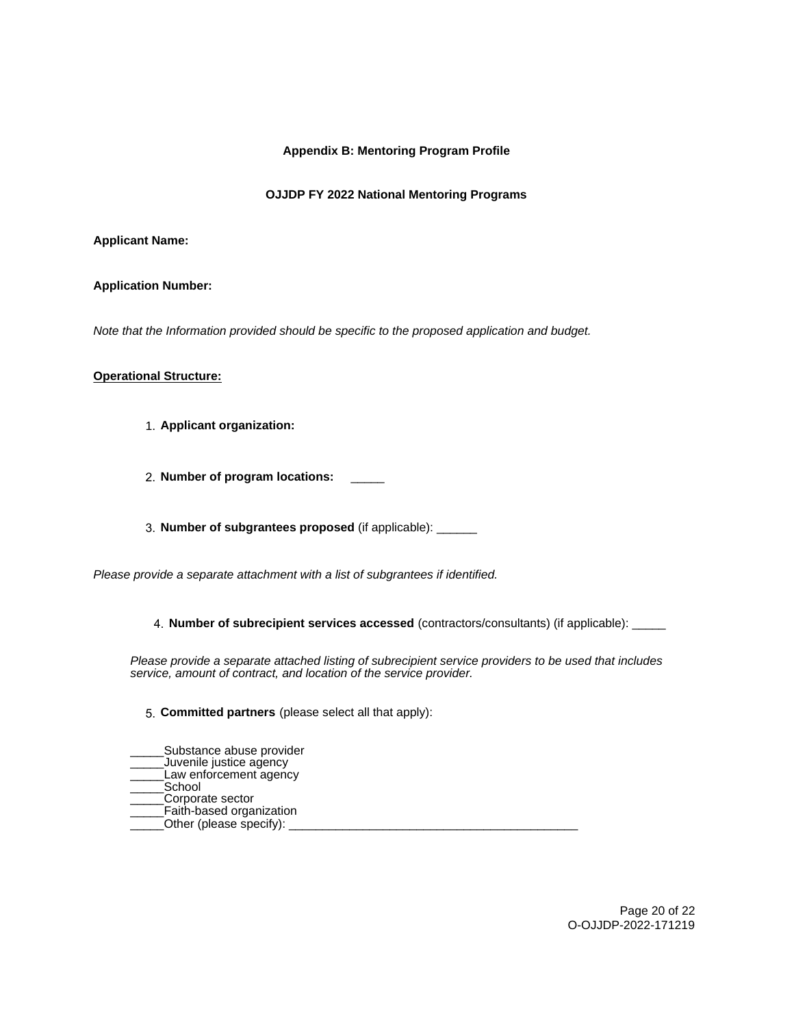# **Appendix B: Mentoring Program Profile**

# **OJJDP FY 2022 National Mentoring Programs**

# **Applicant Name:**

# **Application Number:**

Note that the Information provided should be specific to the proposed application and budget.

# **Operational Structure:**

- 1. **Applicant organization:**
- 2. **Number of program locations:** \_\_\_\_\_

3. **Number of subgrantees proposed** (if applicable): \_\_\_\_\_\_

Please provide a separate attachment with a list of subgrantees if identified.

4. **Number of subrecipient services accessed** (contractors/consultants) (if applicable): \_\_\_\_\_

Please provide a separate attached listing of subrecipient service providers to be used that includes service, amount of contract, and location of the service provider.

# 5. **Committed partners** (please select all that apply):

- \_\_\_\_\_Substance abuse provider
- \_\_\_\_\_Juvenile justice agency
- $\bar{\phantom{\phi}}$ Law enforcement agency \_\_\_\_\_School
- \_\_\_\_\_Corporate sector
- Faith-based organization
- \_\_\_\_\_Other (please specify): \_\_\_\_\_\_\_\_\_\_\_\_\_\_\_\_\_\_\_\_\_\_\_\_\_\_\_\_\_\_\_\_\_\_\_\_\_\_\_\_\_\_\_

Page 20 of 22 O-OJJDP-2022-171219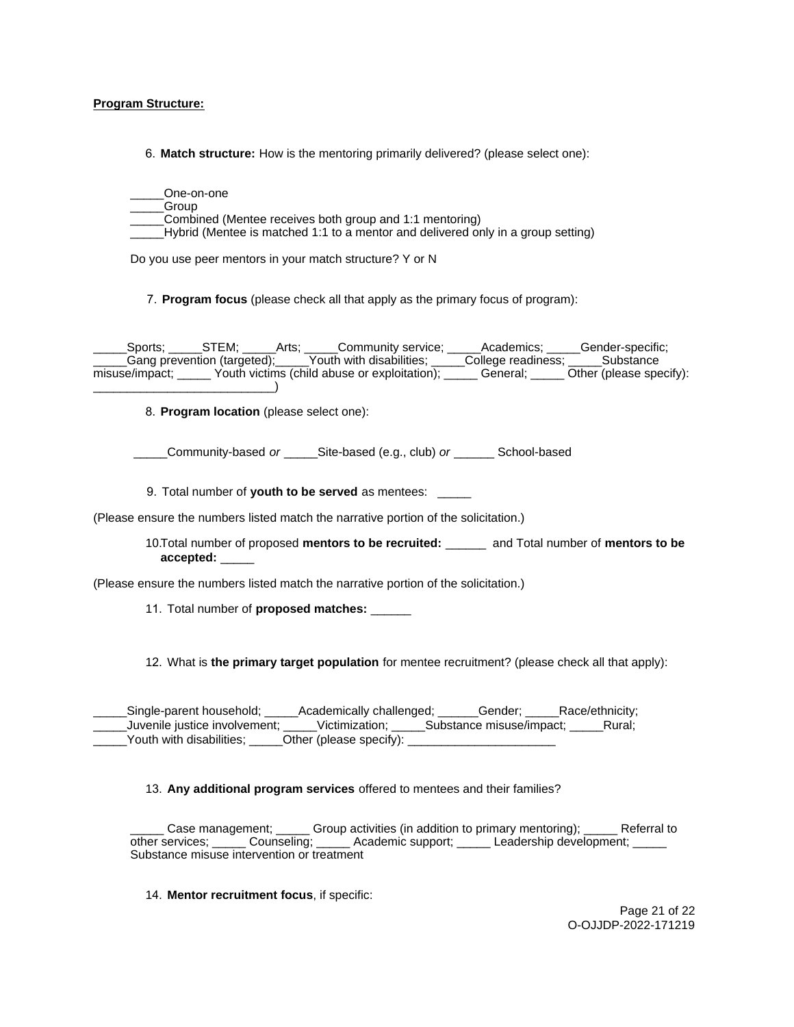# **Program Structure:**

6. **Match structure:** How is the mentoring primarily delivered? (please select one):

\_\_\_\_\_One-on-one \_\_\_\_\_Group Combined (Mentee receives both group and 1:1 mentoring) Hybrid (Mentee is matched 1:1 to a mentor and delivered only in a group setting)

Do you use peer mentors in your match structure? Y or N

7. **Program focus** (please check all that apply as the primary focus of program):

\_\_\_\_\_Sports; \_\_\_\_\_STEM; \_\_\_\_\_Arts; \_\_\_\_\_Community service; \_\_\_\_\_Academics; \_\_\_\_\_Gender-specific; \_\_\_\_\_Gang prevention (targeted);\_\_\_\_\_Youth with disabilities; \_\_\_\_\_College readiness; \_\_\_\_\_Substance misuse/impact; \_\_\_\_\_ Youth victims (child abuse or exploitation); \_\_\_\_\_ General; \_\_\_\_\_ Other (please specify): \_\_\_\_\_\_\_\_\_\_\_\_\_\_\_\_\_\_\_\_\_\_\_\_\_\_\_)

8. **Program location** (please select one):

Community-based or \_\_\_\_\_Site-based (e.g., club) or \_\_\_\_\_\_\_ School-based

9. Total number of **youth to be served** as mentees: \_\_\_\_\_

(Please ensure the numbers listed match the narrative portion of the solicitation.)

10.Total number of proposed **mentors to be recruited:** \_\_\_\_\_\_ and Total number of **mentors to be accepted:** \_\_\_\_\_

(Please ensure the numbers listed match the narrative portion of the solicitation.)

11. Total number of **proposed matches:** \_\_\_\_\_\_

12. What is **the primary target population** for mentee recruitment? (please check all that apply):

\_\_\_\_\_Single-parent household; \_\_\_\_\_Academically challenged; \_\_\_\_\_\_Gender; \_\_\_\_\_Race/ethnicity; \_\_\_\_\_Juvenile justice involvement; \_\_\_\_\_Victimization; \_\_\_\_\_Substance misuse/impact; \_\_\_\_\_Rural; Youth with disabilities; \_\_\_\_\_\_Other (please specify):

13. **Any additional program services** offered to mentees and their families?

Case management; \_\_\_\_\_ Group activities (in addition to primary mentoring); \_\_\_\_\_ Referral to other services; \_\_\_\_\_\_ Counseling; \_\_\_\_\_\_ Academic support; \_\_\_\_\_\_ Leadership development; \_\_\_\_\_ Substance misuse intervention or treatment

14. **Mentor recruitment focus**, if specific:

Page 21 of 22 O-OJJDP-2022-171219